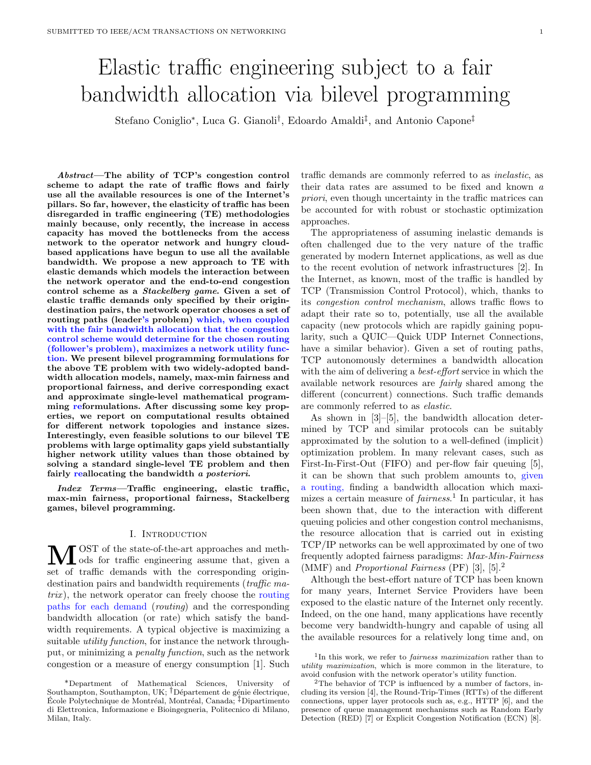# Elastic traffic engineering subject to a fair bandwidth allocation via bilevel programming

Stefano Coniglio<sup>∗</sup> , Luca G. Gianoli† , Edoardo Amaldi‡ , and Antonio Capone‡

Abstract—The ability of TCP's congestion control scheme to adapt the rate of traffic flows and fairly use all the available resources is one of the Internet's pillars. So far, however, the elasticity of traffic has been disregarded in traffic engineering (TE) methodologies mainly because, only recently, the increase in access capacity has moved the bottlenecks from the access network to the operator network and hungry cloudbased applications have begun to use all the available bandwidth. We propose a new approach to TE with elastic demands which models the interaction between the network operator and the end-to-end congestion control scheme as a Stackelberg game. Given a set of elastic traffic demands only specified by their origindestination pairs, the network operator chooses a set of routing paths (leader's problem) which, when coupled with the fair bandwidth allocation that the congestion control scheme would determine for the chosen routing (follower's problem), maximizes a network utility function. We present bilevel programming formulations for the above TE problem with two widely-adopted bandwidth allocation models, namely, max-min fairness and proportional fairness, and derive corresponding exact and approximate single-level mathematical programming reformulations. After discussing some key properties, we report on computational results obtained for different network topologies and instance sizes. Interestingly, even feasible solutions to our bilevel TE problems with large optimality gaps yield substantially higher network utility values than those obtained by solving a standard single-level TE problem and then fairly reallocating the bandwidth a posteriori.

Index Terms—Traffic engineering, elastic traffic, max-min fairness, proportional fairness, Stackelberg games, bilevel programming.

#### I. Introduction

**M**OST of the state-of-the-art approaches and meth-<br>
ods for traffic engineering assume that, given a set of traffic demands with the corresponding origindestination pairs and bandwidth requirements (*traffic ma*trix ), the network operator can freely choose the routing paths for each demand (routing) and the corresponding bandwidth allocation (or rate) which satisfy the bandwidth requirements. A typical objective is maximizing a suitable *utility function*, for instance the network throughput, or minimizing a penalty function, such as the network congestion or a measure of energy consumption [1]. Such traffic demands are commonly referred to as inelastic, as their data rates are assumed to be fixed and known a priori, even though uncertainty in the traffic matrices can be accounted for with robust or stochastic optimization approaches.

The appropriateness of assuming inelastic demands is often challenged due to the very nature of the traffic generated by modern Internet applications, as well as due to the recent evolution of network infrastructures [2]. In the Internet, as known, most of the traffic is handled by TCP (Transmission Control Protocol), which, thanks to its congestion control mechanism, allows traffic flows to adapt their rate so to, potentially, use all the available capacity (new protocols which are rapidly gaining popularity, such a QUIC—Quick UDP Internet Connections, have a similar behavior). Given a set of routing paths, TCP autonomously determines a bandwidth allocation with the aim of delivering a *best-effort* service in which the available network resources are fairly shared among the different (concurrent) connections. Such traffic demands are commonly referred to as elastic.

As shown in [3]–[5], the bandwidth allocation determined by TCP and similar protocols can be suitably approximated by the solution to a well-defined (implicit) optimization problem. In many relevant cases, such as First-In-First-Out (FIFO) and per-flow fair queuing [5], it can be shown that such problem amounts to, given a routing, finding a bandwidth allocation which maximizes a certain measure of *fairness*.<sup>1</sup> In particular, it has been shown that, due to the interaction with different queuing policies and other congestion control mechanisms, the resource allocation that is carried out in existing TCP/IP networks can be well approximated by one of two frequently adopted fairness paradigms: Max-Min-Fairness (MMF) and *Proportional Fairness* (PF) [3], [5].<sup>2</sup>

Although the best-effort nature of TCP has been known for many years, Internet Service Providers have been exposed to the elastic nature of the Internet only recently. Indeed, on the one hand, many applications have recently become very bandwidth-hungry and capable of using all the available resources for a relatively long time and, on

<sup>∗</sup>Department of Mathematical Sciences, University of Southampton, Southampton, UK;  $\overline{D}$ épartement de génie électrique, École Polytechnique de Montréal, Montréal, Canada; <sup>‡</sup>Dipartimento di Elettronica, Informazione e Bioingegneria, Politecnico di Milano, Milan, Italy.

<sup>&</sup>lt;sup>1</sup>In this work, we refer to *fairness maximization* rather than to utility maximization, which is more common in the literature, to avoid confusion with the network operator's utility function.

<sup>2</sup>The behavior of TCP is influenced by a number of factors, including its version [4], the Round-Trip-Times (RTTs) of the different connections, upper layer protocols such as, e.g., HTTP [6], and the presence of queue management mechanisms such as Random Early Detection (RED) [7] or Explicit Congestion Notification (ECN) [8].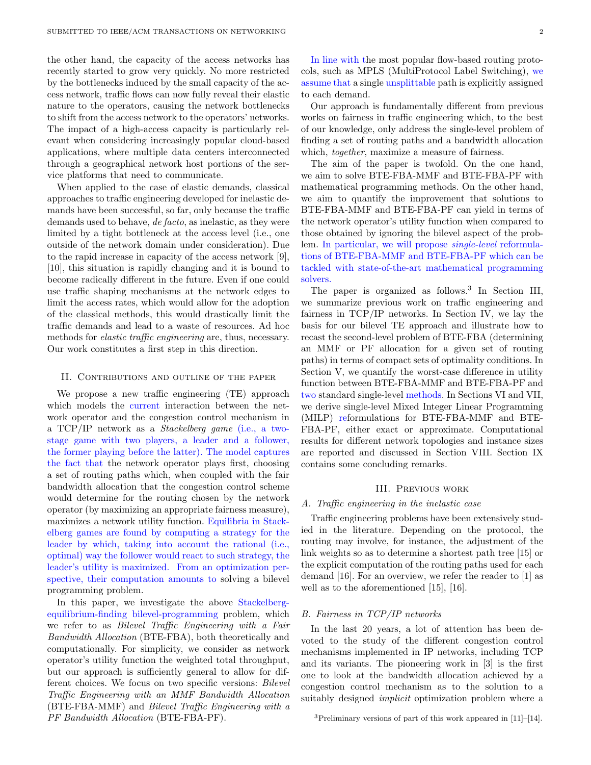the other hand, the capacity of the access networks has recently started to grow very quickly. No more restricted by the bottlenecks induced by the small capacity of the access network, traffic flows can now fully reveal their elastic nature to the operators, causing the network bottlenecks to shift from the access network to the operators' networks. The impact of a high-access capacity is particularly relevant when considering increasingly popular cloud-based applications, where multiple data centers interconnected through a geographical network host portions of the service platforms that need to communicate.

When applied to the case of elastic demands, classical approaches to traffic engineering developed for inelastic demands have been successful, so far, only because the traffic demands used to behave, de facto, as inelastic, as they were limited by a tight bottleneck at the access level (i.e., one outside of the network domain under consideration). Due to the rapid increase in capacity of the access network [9], [10], this situation is rapidly changing and it is bound to become radically different in the future. Even if one could use traffic shaping mechanisms at the network edges to limit the access rates, which would allow for the adoption of the classical methods, this would drastically limit the traffic demands and lead to a waste of resources. Ad hoc methods for elastic traffic engineering are, thus, necessary. Our work constitutes a first step in this direction.

## II. CONTRIBUTIONS AND OUTLINE OF THE PAPER

We propose a new traffic engineering (TE) approach which models the current interaction between the network operator and the congestion control mechanism in a TCP/IP network as a Stackelberg game (i.e., a twostage game with two players, a leader and a follower, the former playing before the latter). The model captures the fact that the network operator plays first, choosing a set of routing paths which, when coupled with the fair bandwidth allocation that the congestion control scheme would determine for the routing chosen by the network operator (by maximizing an appropriate fairness measure), maximizes a network utility function. Equilibria in Stackelberg games are found by computing a strategy for the leader by which, taking into account the rational (i.e., optimal) way the follower would react to such strategy, the leader's utility is maximized. From an optimization perspective, their computation amounts to solving a bilevel programming problem.

In this paper, we investigate the above Stackelbergequilibrium-finding bilevel-programming problem, which we refer to as Bilevel Traffic Engineering with a Fair Bandwidth Allocation (BTE-FBA), both theoretically and computationally. For simplicity, we consider as network operator's utility function the weighted total throughput, but our approach is sufficiently general to allow for different choices. We focus on two specific versions: Bilevel Traffic Engineering with an MMF Bandwidth Allocation (BTE-FBA-MMF) and Bilevel Traffic Engineering with a PF Bandwidth Allocation (BTE-FBA-PF).

In line with the most popular flow-based routing protocols, such as MPLS (MultiProtocol Label Switching), we assume that a single unsplittable path is explicitly assigned to each demand.

Our approach is fundamentally different from previous works on fairness in traffic engineering which, to the best of our knowledge, only address the single-level problem of finding a set of routing paths and a bandwidth allocation which, *together*, maximize a measure of fairness.

The aim of the paper is twofold. On the one hand, we aim to solve BTE-FBA-MMF and BTE-FBA-PF with mathematical programming methods. On the other hand, we aim to quantify the improvement that solutions to BTE-FBA-MMF and BTE-FBA-PF can yield in terms of the network operator's utility function when compared to those obtained by ignoring the bilevel aspect of the problem. In particular, we will propose single-level reformulations of BTE-FBA-MMF and BTE-FBA-PF which can be tackled with state-of-the-art mathematical programming solvers.

The paper is organized as follows.<sup>3</sup> In Section III, we summarize previous work on traffic engineering and fairness in TCP/IP networks. In Section IV, we lay the basis for our bilevel TE approach and illustrate how to recast the second-level problem of BTE-FBA (determining an MMF or PF allocation for a given set of routing paths) in terms of compact sets of optimality conditions. In Section V, we quantify the worst-case difference in utility function between BTE-FBA-MMF and BTE-FBA-PF and two standard single-level methods. In Sections VI and VII, we derive single-level Mixed Integer Linear Programming (MILP) reformulations for BTE-FBA-MMF and BTE-FBA-PF, either exact or approximate. Computational results for different network topologies and instance sizes are reported and discussed in Section VIII. Section IX contains some concluding remarks.

# III. Previous work

## A. Traffic engineering in the inelastic case

Traffic engineering problems have been extensively studied in the literature. Depending on the protocol, the routing may involve, for instance, the adjustment of the link weights so as to determine a shortest path tree [15] or the explicit computation of the routing paths used for each demand [16]. For an overview, we refer the reader to [1] as well as to the aforementioned [15], [16].

#### B. Fairness in TCP/IP networks

In the last 20 years, a lot of attention has been devoted to the study of the different congestion control mechanisms implemented in IP networks, including TCP and its variants. The pioneering work in [3] is the first one to look at the bandwidth allocation achieved by a congestion control mechanism as to the solution to a suitably designed *implicit* optimization problem where a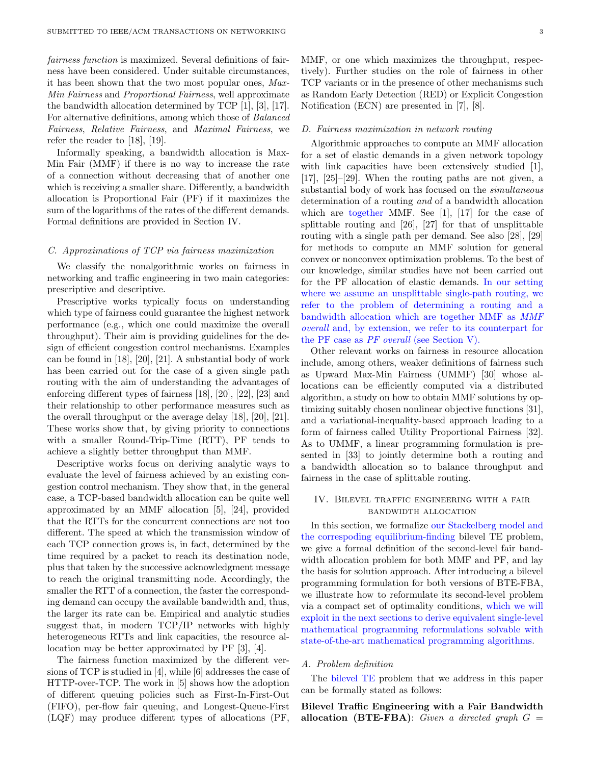fairness function is maximized. Several definitions of fairness have been considered. Under suitable circumstances, it has been shown that the two most popular ones, Max-Min Fairness and Proportional Fairness, well approximate the bandwidth allocation determined by TCP [1], [3], [17]. For alternative definitions, among which those of Balanced Fairness, Relative Fairness, and Maximal Fairness, we refer the reader to [18], [19].

Informally speaking, a bandwidth allocation is Max-Min Fair (MMF) if there is no way to increase the rate of a connection without decreasing that of another one which is receiving a smaller share. Differently, a bandwidth allocation is Proportional Fair (PF) if it maximizes the sum of the logarithms of the rates of the different demands. Formal definitions are provided in Section IV.

## C. Approximations of TCP via fairness maximization

We classify the nonalgorithmic works on fairness in networking and traffic engineering in two main categories: prescriptive and descriptive.

Prescriptive works typically focus on understanding which type of fairness could guarantee the highest network performance (e.g., which one could maximize the overall throughput). Their aim is providing guidelines for the design of efficient congestion control mechanisms. Examples can be found in [18], [20], [21]. A substantial body of work has been carried out for the case of a given single path routing with the aim of understanding the advantages of enforcing different types of fairness [18], [20], [22], [23] and their relationship to other performance measures such as the overall throughput or the average delay [18], [20], [21]. These works show that, by giving priority to connections with a smaller Round-Trip-Time (RTT), PF tends to achieve a slightly better throughput than MMF.

Descriptive works focus on deriving analytic ways to evaluate the level of fairness achieved by an existing congestion control mechanism. They show that, in the general case, a TCP-based bandwidth allocation can be quite well approximated by an MMF allocation [5], [24], provided that the RTTs for the concurrent connections are not too different. The speed at which the transmission window of each TCP connection grows is, in fact, determined by the time required by a packet to reach its destination node, plus that taken by the successive acknowledgment message to reach the original transmitting node. Accordingly, the smaller the RTT of a connection, the faster the corresponding demand can occupy the available bandwidth and, thus, the larger its rate can be. Empirical and analytic studies suggest that, in modern TCP/IP networks with highly heterogeneous RTTs and link capacities, the resource allocation may be better approximated by PF [3], [4].

The fairness function maximized by the different versions of TCP is studied in [4], while [6] addresses the case of HTTP-over-TCP. The work in [5] shows how the adoption of different queuing policies such as First-In-First-Out (FIFO), per-flow fair queuing, and Longest-Queue-First (LQF) may produce different types of allocations (PF,

MMF, or one which maximizes the throughput, respectively). Further studies on the role of fairness in other TCP variants or in the presence of other mechanisms such as Random Early Detection (RED) or Explicit Congestion Notification (ECN) are presented in [7], [8].

#### D. Fairness maximization in network routing

Algorithmic approaches to compute an MMF allocation for a set of elastic demands in a given network topology with link capacities have been extensively studied [1], [17], [25]–[29]. When the routing paths are not given, a substantial body of work has focused on the simultaneous determination of a routing and of a bandwidth allocation which are together MMF. See [1], [17] for the case of splittable routing and [26], [27] for that of unsplittable routing with a single path per demand. See also [28], [29] for methods to compute an MMF solution for general convex or nonconvex optimization problems. To the best of our knowledge, similar studies have not been carried out for the PF allocation of elastic demands. In our setting where we assume an unsplittable single-path routing, we refer to the problem of determining a routing and a bandwidth allocation which are together MMF as MMF overall and, by extension, we refer to its counterpart for the PF case as PF overall (see Section V).

Other relevant works on fairness in resource allocation include, among others, weaker definitions of fairness such as Upward Max-Min Fairness (UMMF) [30] whose allocations can be efficiently computed via a distributed algorithm, a study on how to obtain MMF solutions by optimizing suitably chosen nonlinear objective functions [31], and a variational-inequality-based approach leading to a form of fairness called Utility Proportional Fairness [32]. As to UMMF, a linear programming formulation is presented in [33] to jointly determine both a routing and a bandwidth allocation so to balance throughput and fairness in the case of splittable routing.

# IV. Bilevel traffic engineering with a fair bandwidth allocation

In this section, we formalize our Stackelberg model and the correspoding equilibrium-finding bilevel TE problem, we give a formal definition of the second-level fair bandwidth allocation problem for both MMF and PF, and lay the basis for solution approach. After introducing a bilevel programming formulation for both versions of BTE-FBA, we illustrate how to reformulate its second-level problem via a compact set of optimality conditions, which we will exploit in the next sections to derive equivalent single-level mathematical programming reformulations solvable with state-of-the-art mathematical programming algorithms.

#### A. Problem definition

The bilevel TE problem that we address in this paper can be formally stated as follows:

Bilevel Traffic Engineering with a Fair Bandwidth allocation (BTE-FBA): Given a directed graph  $G =$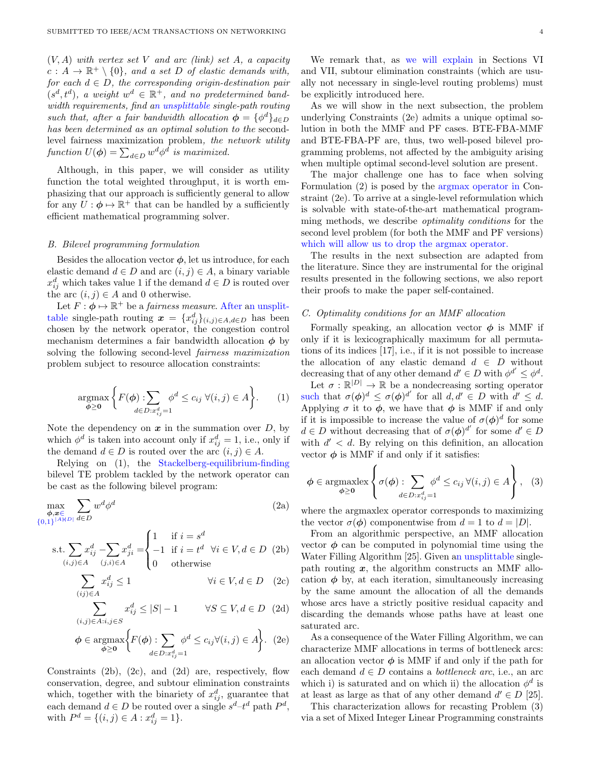$(V, A)$  with vertex set V and arc (link) set A, a capacity  $c : A \to \mathbb{R}^+ \setminus \{0\}$ , and a set D of elastic demands with, for each  $d \in D$ , the corresponding origin-destination pair  $(s^d, t^d)$ , a weight  $w^d \in \mathbb{R}^+$ , and no predetermined bandwidth requirements, find an unsplittable single-path routing such that, after a fair bandwidth allocation  $\phi = {\phi^d}_{d \in D}$ has been determined as an optimal solution to the secondlevel fairness maximization problem, the network utility function  $U(\boldsymbol{\phi}) = \sum_{d \in D} w^d \phi^d$  is maximized.

Although, in this paper, we will consider as utility function the total weighted throughput, it is worth emphasizing that our approach is sufficiently general to allow for any  $U: \phi \mapsto \mathbb{R}^+$  that can be handled by a sufficiently efficient mathematical programming solver.

## B. Bilevel programming formulation

Besides the allocation vector  $\phi$ , let us introduce, for each elastic demand  $d \in D$  and arc  $(i, j) \in A$ , a binary variable  $x_{ij}^d$  which takes value 1 if the demand  $d \in D$  is routed over the arc  $(i, j) \in A$  and 0 otherwise.

Let  $F: \phi \mapsto \mathbb{R}^+$  be a *fairness measure*. After an unsplittable single-path routing  $\boldsymbol{x} = \{x_{ij}^d\}_{(i,j)\in A, d \in D}$  has been chosen by the network operator, the congestion control mechanism determines a fair bandwidth allocation  $\phi$  by solving the following second-level fairness maximization problem subject to resource allocation constraints:

$$
\underset{\phi \ge 0}{\operatorname{argmax}} \left\{ F(\phi) : \sum_{d \in D: x_{ij}^d = 1} \phi^d \le c_{ij} \ \forall (i, j) \in A \right\}.
$$
 (1)

Note the dependency on  $x$  in the summation over  $D$ , by which  $\phi^d$  is taken into account only if  $x_{ij}^d = 1$ , i.e., only if the demand  $d \in D$  is routed over the arc  $(i, j) \in A$ .

Relying on (1), the Stackelberg-equilibrium-finding bilevel TE problem tackled by the network operator can be cast as the following bilevel program:

$$
\max_{\substack{\phi,\mathbf{x}\in\mathcal{L} \\ \{0,1\}^{|A\|\mathcal{D}|}}}\sum_{d\in D}w^d\phi^d\tag{2a}
$$

s.t. 
$$
\sum_{(i,j)\in A} x_{ij}^d - \sum_{(j,i)\in A} x_{ji}^d = \begin{cases} 1 & \text{if } i = s^d \\ -1 & \text{if } i = t^d \quad \forall i \in V, d \in D \end{cases}
$$
 (2b)

$$
\sum_{(ij)\in A} x_{ij}^d \le 1 \qquad \forall i \in V, d \in D \quad (2c)
$$

$$
\sum_{(i,j)\in A: i,j\in S} x_{ij}^d \le |S| - 1 \qquad \forall S \subseteq V, d \in D \quad (2d)
$$

$$
\phi \in \underset{\phi \ge 0}{\operatorname{argmax}} \Big\{ F(\phi) : \sum_{d \in D: x_{ij}^d = 1} \phi^d \le c_{ij} \forall (i, j) \in A \Big\}. \tag{2e}
$$

Constraints (2b), (2c), and (2d) are, respectively, flow conservation, degree, and subtour elimination constraints which, together with the binariety of  $x_{ij}^d$ , guarantee that each demand  $d \in D$  be routed over a single  $s^d-t^d$  path  $P^d$ , with  $P^d = \{(i, j) \in A : x_{ij}^d = 1\}.$ 

We remark that, as we will explain in Sections VI and VII, subtour elimination constraints (which are usually not necessary in single-level routing problems) must be explicitly introduced here.

As we will show in the next subsection, the problem underlying Constraints (2e) admits a unique optimal solution in both the MMF and PF cases. BTE-FBA-MMF and BTE-FBA-PF are, thus, two well-posed bilevel programming problems, not affected by the ambiguity arising when multiple optimal second-level solution are present.

The major challenge one has to face when solving Formulation (2) is posed by the argmax operator in Constraint (2e). To arrive at a single-level reformulation which is solvable with state-of-the-art mathematical programming methods, we describe *optimality conditions* for the second level problem (for both the MMF and PF versions) which will allow us to drop the argmax operator.

The results in the next subsection are adapted from the literature. Since they are instrumental for the original results presented in the following sections, we also report their proofs to make the paper self-contained.

# C. Optimality conditions for an MMF allocation

Formally speaking, an allocation vector  $\phi$  is MMF if only if it is lexicographically maximum for all permutations of its indices [17], i.e., if it is not possible to increase the allocation of any elastic demand  $d \in D$  without decreasing that of any other demand  $d' \in D$  with  $\phi^{d'} \leq \phi^d$ .

Let  $\sigma : \mathbb{R}^{|D|} \to \mathbb{R}$  be a nondecreasing sorting operator such that  $\sigma(\phi)^d \leq \sigma(\phi)^{d'}$  for all  $d, d' \in D$  with  $d' \leq d$ . Applying  $\sigma$  it to  $\phi$ , we have that  $\phi$  is MMF if and only if it is impossible to increase the value of  $\sigma(\phi)^d$  for some  $d \in D$  without decreasing that of  $\sigma(\boldsymbol{\phi})^{d'}$  for some  $d' \in D$ with  $d' < d$ . By relying on this definition, an allocation vector  $\phi$  is MMF if and only if it satisfies:

$$
\phi \in \underset{\phi \ge 0}{\operatorname{argmax}} \operatorname{lex} \left\{ \sigma(\phi) : \sum_{d \in D : x_{ij}^d = 1} \phi^d \le c_{ij} \,\forall (i, j) \in A \right\}, \quad (3)
$$

where the argmaxlex operator corresponds to maximizing the vector  $\sigma(\phi)$  componentwise from  $d = 1$  to  $d = |D|$ .

From an algorithmic perspective, an MMF allocation vector  $\phi$  can be computed in polynomial time using the Water Filling Algorithm [25]. Given an unsplittable singlepath routing  $x$ , the algorithm constructs an MMF allocation  $\phi$  by, at each iteration, simultaneously increasing by the same amount the allocation of all the demands whose arcs have a strictly positive residual capacity and discarding the demands whose paths have at least one saturated arc.

As a consequence of the Water Filling Algorithm, we can characterize MMF allocations in terms of bottleneck arcs: an allocation vector  $\phi$  is MMF if and only if the path for each demand  $d \in D$  contains a *bottleneck arc*, i.e., an arc which i) is saturated and on which ii) the allocation  $\phi^d$  is at least as large as that of any other demand  $d' \in D$  [25].

This characterization allows for recasting Problem (3) via a set of Mixed Integer Linear Programming constraints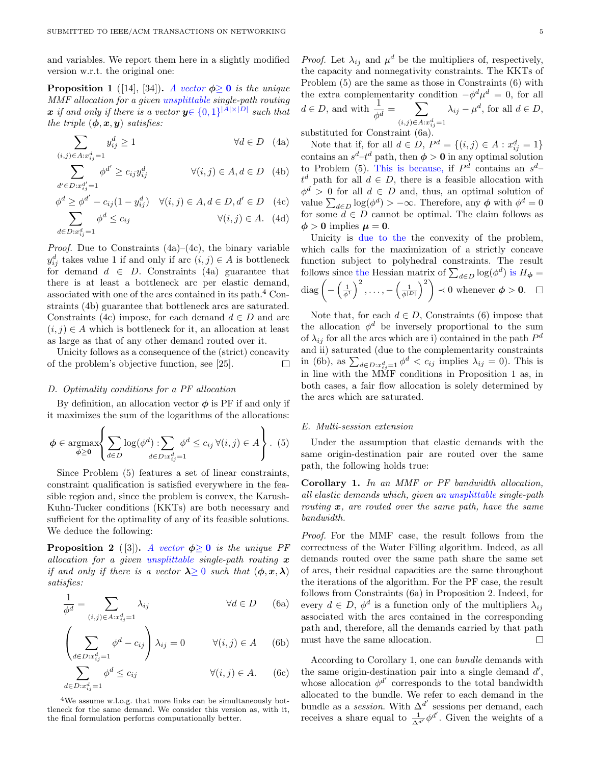and variables. We report them here in a slightly modified version w.r.t. the original one:

**Proposition 1** ([14], [34]). A vector  $\phi \geq 0$  is the unique MMF allocation for a given unsplittable single-path routing  $\boldsymbol{x}$  if and only if there is a vector  $\boldsymbol{y} \in \{0,1\}^{|A| \times |D|}$  such that the triple  $(\boldsymbol{\phi}, \boldsymbol{x}, \boldsymbol{y})$  satisfies:

$$
\sum_{(i,j)\in A:x_{ij}^d=1} y_{ij}^d \ge 1 \qquad \qquad \forall d\in D \quad \text{(4a)}
$$

$$
\sum_{d' \in D: x_{ij}^{d'} = 1} \phi^{d'} \ge c_{ij} y_{ij}^d \qquad \forall (i, j) \in A, d \in D \quad (4b)
$$

$$
\phi^d \ge \phi^{d'} - c_{ij}(1 - y_{ij}^d) \quad \forall (i, j) \in A, d \in D, d' \in D \quad (4c)
$$

$$
\sum_{d \in D: x_{ij}^d = 1} \phi^d \le c_{ij} \qquad \forall (i, j) \in A. \tag{4d}
$$

*Proof.* Due to Constraints  $(4a)$ – $(4c)$ , the binary variable  $y_{ij}^d$  takes value 1 if and only if arc  $(i, j) \in A$  is bottleneck for demand  $d \in D$ . Constraints (4a) guarantee that there is at least a bottleneck arc per elastic demand, associated with one of the arcs contained in its path.<sup>4</sup> Constraints (4b) guarantee that bottleneck arcs are saturated. Constraints (4c) impose, for each demand  $d \in D$  and arc  $(i, j) \in A$  which is bottleneck for it, an allocation at least as large as that of any other demand routed over it.

Unicity follows as a consequence of the (strict) concavity of the problem's objective function, see [25].  $\Box$ 

#### D. Optimality conditions for a PF allocation

By definition, an allocation vector  $\phi$  is PF if and only if it maximizes the sum of the logarithms of the allocations:

$$
\phi \in \underset{\phi \ge 0}{\operatorname{argmax}} \left\{ \sum_{d \in D} \log(\phi^d) : \sum_{d \in D: x_{ij}^d = 1} \phi^d \le c_{ij} \,\forall (i, j) \in A \right\}.
$$
 (5)

Since Problem (5) features a set of linear constraints, constraint qualification is satisfied everywhere in the feasible region and, since the problem is convex, the Karush-Kuhn-Tucker conditions (KKTs) are both necessary and sufficient for the optimality of any of its feasible solutions. We deduce the following:

**Proposition 2** ([3]). A vector  $\phi > 0$  is the unique PF allocation for a given unsplittable single-path routing  $x$ if and only if there is a vector  $\lambda > 0$  such that  $(\phi, x, \lambda)$ satisfies:

$$
\frac{1}{\phi^d} = \sum_{(i,j)\in A:x_{ij}^d=1} \lambda_{ij} \qquad \forall d \in D \qquad (6a)
$$

$$
\left(\sum_{d \in D: x_{ij}^d = 1} \phi^d - c_{ij}\right) \lambda_{ij} = 0 \qquad \forall (i, j) \in A \quad (6b)
$$

$$
\sum_{d \in D: x_{ij}^d = 1} \phi^d \le c_{ij} \qquad \forall (i, j) \in A. \qquad (6c)
$$

<sup>4</sup>We assume w.l.o.g. that more links can be simultaneously bottleneck for the same demand. We consider this version as, with it, the final formulation performs computationally better.

*Proof.* Let  $\lambda_{ij}$  and  $\mu^d$  be the multipliers of, respectively, the capacity and nonnegativity constraints. The KKTs of Problem (5) are the same as those in Constraints (6) with the extra complementarity condition  $-\phi^d \mu^d = 0$ , for all  $d \in D$ , and with  $\frac{1}{\phi^d} = \sum_{(i,j) \in \mathcal{N}}$  $(i,j)$ ∈ $A:x_{ij}^d=1$  $\lambda_{ij} - \mu^d$ , for all  $d \in D$ , substituted for Constraint (6a).

Note that if, for all  $d \in D$ ,  $P^d = \{(i, j) \in A : x_{ij}^d = 1\}$ contains an  $s^d$ -t<sup>d</sup> path, then  $\phi > 0$  in any optimal solution to Problem (5). This is because, if  $P<sup>d</sup>$  contains an  $s<sup>d</sup>$  $t^d$  path for all  $d \in D$ , there is a feasible allocation with  $\phi^d > 0$  for all  $d \in D$  and, thus, an optimal solution of value  $\sum_{d \in D} \log(\phi^d) > -\infty$ . Therefore, any  $\phi$  with  $\phi^d = 0$ for some  $d \in D$  cannot be optimal. The claim follows as  $\phi > 0$  implies  $\mu = 0$ .

Unicity is due to the the convexity of the problem, which calls for the maximization of a strictly concave function subject to polyhedral constraints. The result follows since the Hessian matrix of  $\sum_{d \in D} \log(\phi^d)$  is  $H_{\phi} =$  $\operatorname{diag}\left(-\left(\frac{1}{\phi^1}\right)^2,\ldots,-\left(\frac{1}{\phi^{|D|}}\right)^2\right)\prec 0$  whenever  $\phi>0$ .

Note that, for each  $d \in D$ , Constraints (6) impose that the allocation  $\phi^d$  be inversely proportional to the sum of  $\lambda_{ij}$  for all the arcs which are i) contained in the path  $P^d$ and ii) saturated (due to the complementarity constraints in (6b), as  $\sum_{d \in D: x_{ij}^d = 1} \phi^d < c_{ij}$  implies  $\lambda_{ij} = 0$ ). This is in line with the MMF conditions in Proposition 1 as, in both cases, a fair flow allocation is solely determined by the arcs which are saturated.

#### E. Multi-session extension

Under the assumption that elastic demands with the same origin-destination pair are routed over the same path, the following holds true:

Corollary 1. In an MMF or PF bandwidth allocation, all elastic demands which, given an unsplittable single-path routing  $x$ , are routed over the same path, have the same bandwidth.

Proof. For the MMF case, the result follows from the correctness of the Water Filling algorithm. Indeed, as all demands routed over the same path share the same set of arcs, their residual capacities are the same throughout the iterations of the algorithm. For the PF case, the result follows from Constraints (6a) in Proposition 2. Indeed, for every  $d \in D$ ,  $\phi^d$  is a function only of the multipliers  $\lambda_{ij}$ associated with the arcs contained in the corresponding path and, therefore, all the demands carried by that path must have the same allocation.  $\Box$ 

According to Corollary 1, one can bundle demands with the same origin-destination pair into a single demand  $d'$ , whose allocation  $\phi^{d'}$  corresponds to the total bandwidth allocated to the bundle. We refer to each demand in the bundle as a *session*. With  $\Delta^{d'}$  sessions per demand, each receives a share equal to  $\frac{1}{\Delta d'} \phi^{d'}$ . Given the weights of a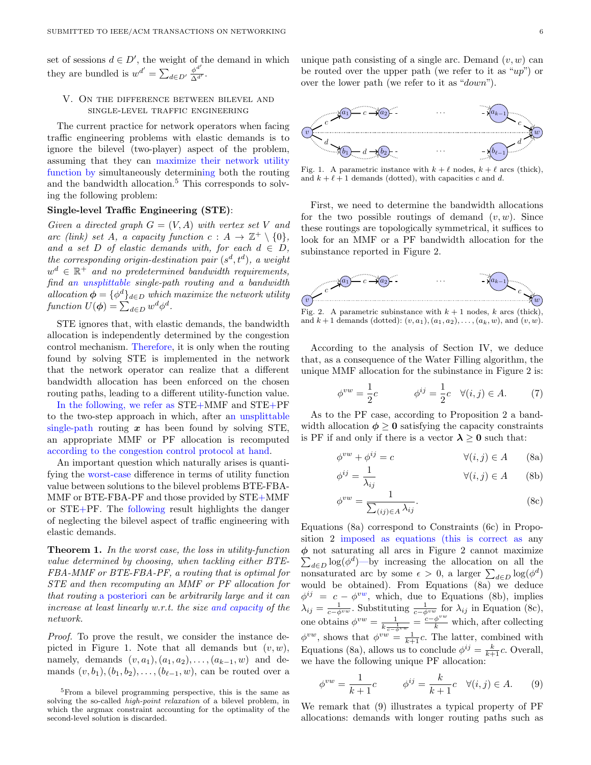set of sessions  $d \in D'$ , the weight of the demand in which they are bundled is  $w^{d'} = \sum_{d \in D'} \frac{\phi^{d'}}{\Delta^{d'}}$ .

# V. On the difference between bilevel and single-level traffic engineering

The current practice for network operators when facing traffic engineering problems with elastic demands is to ignore the bilevel (two-player) aspect of the problem, assuming that they can maximize their network utility function by simultaneously determining both the routing and the bandwidth allocation.<sup>5</sup> This corresponds to solving the following problem:

#### Single-level Traffic Engineering (STE):

Given a directed graph  $G = (V, A)$  with vertex set V and arc (link) set A, a capacity function  $c : A \to \mathbb{Z}^+ \setminus \{0\},\$ and a set D of elastic demands with, for each  $d \in D$ , the corresponding origin-destination pair  $(s^d, t^d)$ , a weight  $w<sup>d</sup> \in \mathbb{R}^+$  and no predetermined bandwidth requirements, find an unsplittable single-path routing and a bandwidth allocation  $\phi = {\phi^d}_{d\in D}$  which maximize the network utility function  $U(\boldsymbol{\phi}) = \sum_{d \in D} w^d \phi^d$ .

STE ignores that, with elastic demands, the bandwidth allocation is independently determined by the congestion control mechanism. Therefore, it is only when the routing found by solving STE is implemented in the network that the network operator can realize that a different bandwidth allocation has been enforced on the chosen routing paths, leading to a different utility-function value.

In the following, we refer as STE+MMF and STE+PF to the two-step approach in which, after an unsplittable single-path routing  $x$  has been found by solving STE, an appropriate MMF or PF allocation is recomputed according to the congestion control protocol at hand.

An important question which naturally arises is quantifying the worst-case difference in terms of utility function value between solutions to the bilevel problems BTE-FBA-MMF or BTE-FBA-PF and those provided by STE+MMF or STE+PF. The following result highlights the danger of neglecting the bilevel aspect of traffic engineering with elastic demands.

Theorem 1. In the worst case, the loss in utility-function value determined by choosing, when tackling either BTE-FBA-MMF or BTE-FBA-PF, a routing that is optimal for STE and then recomputing an MMF or PF allocation for that routing a posteriori can be arbitrarily large and it can increase at least linearly w.r.t. the size and capacity of the network.

Proof. To prove the result, we consider the instance depicted in Figure 1. Note that all demands but  $(v, w)$ , namely, demands  $(v, a_1), (a_1, a_2), \ldots, (a_{k-1}, w)$  and demands  $(v, b_1), (b_1, b_2), \ldots, (b_{\ell-1}, w)$ , can be routed over a unique path consisting of a single arc. Demand  $(v, w)$  can be routed over the upper path (we refer to it as " $up$ ") or over the lower path (we refer to it as "down").



Fig. 1. A parametric instance with  $k + \ell$  nodes,  $k + \ell$  arcs (thick), and  $k + \ell + 1$  demands (dotted), with capacities c and d.

First, we need to determine the bandwidth allocations for the two possible routings of demand  $(v, w)$ . Since these routings are topologically symmetrical, it suffices to look for an MMF or a PF bandwidth allocation for the subinstance reported in Figure 2.



and  $k+1$  demands (dotted):  $(v, a_1), (a_1, a_2), \ldots, (a_k, w)$ , and  $(v, w)$ .

According to the analysis of Section IV, we deduce that, as a consequence of the Water Filling algorithm, the unique MMF allocation for the subinstance in Figure 2 is:

$$
\phi^{vw} = \frac{1}{2}c \qquad \phi^{ij} = \frac{1}{2}c \quad \forall (i, j) \in A. \tag{7}
$$

As to the PF case, according to Proposition 2 a bandwidth allocation  $\phi \geq 0$  satisfying the capacity constraints is PF if and only if there is a vector  $\lambda \geq 0$  such that:

φ

$$
\phi^{vw} + \phi^{ij} = c \qquad \qquad \forall (i, j) \in A \qquad (8a)
$$

$$
\phi^{ij} = \frac{1}{\lambda_{ij}} \qquad \forall (i, j) \in A \qquad (8b)
$$

$$
^{vw} = \frac{1}{\sum_{(ij)\in A} \lambda_{ij}}.\tag{8c}
$$

Equations (8a) correspond to Constraints (6c) in Proposition 2 imposed as equations (this is correct as any  $\phi$  not saturating all arcs in Figure 2 cannot maximize  $\sum_{d\in D} \log(\phi^d)$ —by increasing the allocation on all the nonsaturated arc by some  $\epsilon > 0$ , a larger  $\sum_{d \in D} \log(\phi^d)$ would be obtained). From Equations  $(8a)$  we deduce  $\phi^{ij} = c - \phi^{vw}$ , which, due to Equations (8b), implies  $\lambda_{ij} = \frac{1}{c - \phi^{vw}}$ . Substituting  $\frac{1}{c - \phi^{vw}}$  for  $\lambda_{ij}$  in Equation (8c), one obtains  $\phi^{vw} = \frac{1}{k \frac{1}{c - \phi^{vw}}} = \frac{c - \phi^{vw}}{k}$  which, after collecting  $\phi^{vw}$ , shows that  $\phi^{vw} = \frac{1}{k+1}c$ . The latter, combined with Equations (8a), allows us to conclude  $\phi^{ij} = \frac{k}{k+1}c$ . Overall, we have the following unique PF allocation:

$$
\phi^{vw} = \frac{1}{k+1}c \qquad \phi^{ij} = \frac{k}{k+1}c \quad \forall (i,j) \in A. \tag{9}
$$

We remark that  $(9)$  illustrates a typical property of PF allocations: demands with longer routing paths such as

<sup>5</sup>From a bilevel programming perspective, this is the same as solving the so-called *high-point relaxation* of a bilevel problem, in which the argmax constraint accounting for the optimality of the second-level solution is discarded.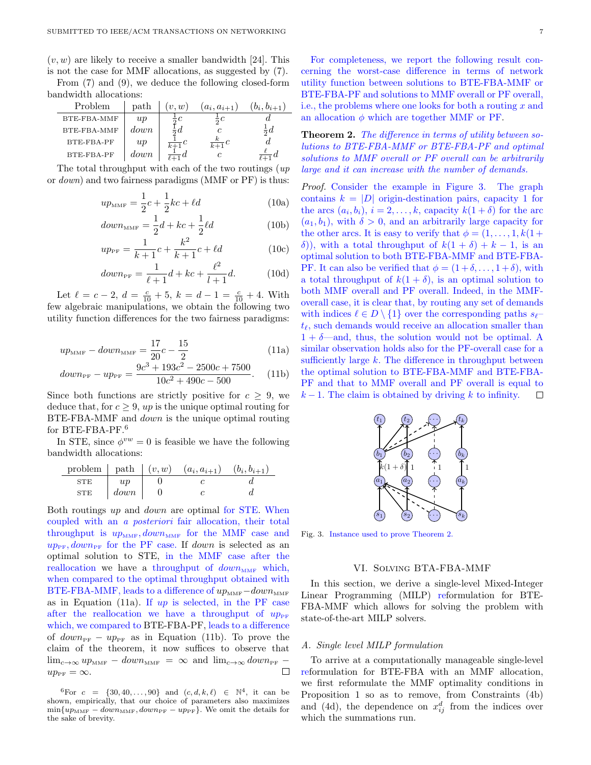$(v, w)$  are likely to receive a smaller bandwidth [24]. This is not the case for MMF allocations, as suggested by (7).

From (7) and (9), we deduce the following closed-form bandwidth allocations:

| Problem     | path | v,w | $a_i, a_{i+1}$ |  |
|-------------|------|-----|----------------|--|
| BTE-FBA-MMF | up   |     |                |  |
| BTE-FBA-MMF | down |     |                |  |
| BTE-FBA-PF  | up   |     |                |  |
| BTE-FBA-PF  | down |     |                |  |

The total throughput with each of the two routings  $(up)$ or down) and two fairness paradigms (MMF or PF) is thus:

$$
up_{\text{MMF}} = \frac{1}{2}c + \frac{1}{2}kc + \ell d
$$
 (10a)

$$
down_{\text{MMF}} = \frac{1}{2}d + kc + \frac{1}{2}\ell d\tag{10b}
$$

$$
up_{\rm PF} = \frac{1}{k+1}c + \frac{k^2}{k+1}c + \ell d \tag{10c}
$$

$$
down_{\rm PF} = \frac{1}{\ell+1}d + kc + \frac{\ell^2}{l+1}d.
$$
 (10d)

Let  $\ell = c - 2$ ,  $d = \frac{c}{10} + 5$ ,  $k = d - 1 = \frac{c}{10} + 4$ . With few algebraic manipulations, we obtain the following two utility function differences for the two fairness paradigms:

$$
up_{\text{MMF}} - down_{\text{MMF}} = \frac{17}{20}c - \frac{15}{2}
$$
 (11a)

$$
down_{\rm PF} - up_{\rm PF} = \frac{9c^3 + 193c^2 - 2500c + 7500}{10c^2 + 490c - 500}.
$$
 (11b)

Since both functions are strictly positive for  $c \geq 9$ , we deduce that, for  $c \geq 9$ , up is the unique optimal routing for BTE-FBA-MMF and down is the unique optimal routing for BTE-FBA-PF.<sup>6</sup>

In STE, since  $\phi^{vw} = 0$  is feasible we have the following bandwidth allocations:

| problem | path | $(v, w)$ | $(a_i, a_{i+1})$ | $(b_i, b_{i+1})$ |
|---------|------|----------|------------------|------------------|
| STE     | up   | 0        | c                | d                |
| STE     | down | 0        | c                | d                |

 $\overline{a}$ 

Both routings up and down are optimal for STE. When coupled with an a posteriori fair allocation, their total throughput is  $up_{\text{MMF}}$ ,  $down_{\text{MF}}$  for the MMF case and  $up_{\text{PF}}, down_{\text{PF}}$  for the PF case. If down is selected as an optimal solution to STE, in the MMF case after the reallocation we have a throughput of  $down_{\text{MMF}}$  which, when compared to the optimal throughput obtained with BTE-FBA-MMF, leads to a difference of  $up_{\text{MMF}}$  –  $down_{\text{MMF}}$ as in Equation (11a). If  $up$  is selected, in the PF case after the reallocation we have a throughput of  $up_{PF}$ which, we compared to BTE-FBA-PF, leads to a difference of  $down_{PF} - up_{PF}$  as in Equation (11b). To prove the claim of the theorem, it now suffices to observe that  $\lim_{c\to\infty} up_{\text{MMF}} - down_{\text{MMF}} = \infty$  and  $\lim_{c\to\infty} down_{\text{PF}} \Box$  $up_{PF} = \infty.$ 

For completeness, we report the following result concerning the worst-case difference in terms of network utility function between solutions to BTE-FBA-MMF or BTE-FBA-PF and solutions to MMF overall or PF overall, i.e., the problems where one looks for both a routing  $x$  and an allocation  $\phi$  which are together MMF or PF.

**Theorem 2.** The difference in terms of utility between solutions to BTE-FBA-MMF or BTE-FBA-PF and optimal solutions to MMF overall or PF overall can be arbitrarily large and it can increase with the number of demands.

Proof. Consider the example in Figure 3. The graph contains  $k = |D|$  origin-destination pairs, capacity 1 for the arcs  $(a_i, b_i), i = 2, \ldots, k$ , capacity  $k(1 + \delta)$  for the arc  $(a_1, b_1)$ , with  $\delta > 0$ , and an arbitrarily large capacity for the other arcs. It is easy to verify that  $\phi = (1, \ldots, 1, k(1 +$ δ)), with a total throughput of  $k(1 + \delta) + k - 1$ , is an optimal solution to both BTE-FBA-MMF and BTE-FBA-PF. It can also be verified that  $\phi = (1 + \delta, \ldots, 1 + \delta)$ , with a total throughput of  $k(1 + \delta)$ , is an optimal solution to both MMF overall and PF overall. Indeed, in the MMFoverall case, it is clear that, by routing any set of demands with indices  $\ell \in D \setminus \{1\}$  over the corresponding paths  $s_{\ell}$ –  $t_{\ell}$ , such demands would receive an allocation smaller than  $1 + \delta$ —and, thus, the solution would not be optimal. A similar observation holds also for the PF-overall case for a sufficiently large  $k$ . The difference in throughput between the optimal solution to BTE-FBA-MMF and BTE-FBA-PF and that to MMF overall and PF overall is equal to  $k-1$ . The claim is obtained by driving k to infinity.  $\Box$ 



Fig. 3. Instance used to prove Theorem 2.

#### VI. Solving BTA-FBA-MMF

In this section, we derive a single-level Mixed-Integer Linear Programming (MILP) reformulation for BTE-FBA-MMF which allows for solving the problem with state-of-the-art MILP solvers.

#### A. Single level MILP formulation

To arrive at a computationally manageable single-level reformulation for BTE-FBA with an MMF allocation, we first reformulate the MMF optimality conditions in Proposition 1 so as to remove, from Constraints (4b) and (4d), the dependence on  $x_{ij}^d$  from the indices over which the summations run.

<sup>6</sup> For  $c = \{30, 40, ..., 90\}$  and  $(c, d, k, \ell) \in \mathbb{N}^4$ , it can be shown, empirically, that our choice of parameters also maximizes  $min\{up_{\text{MMF}} - down_{\text{MMF}}, down_{\text{PF}} - up_{\text{PF}}\}.$  We omit the details for the sake of brevity.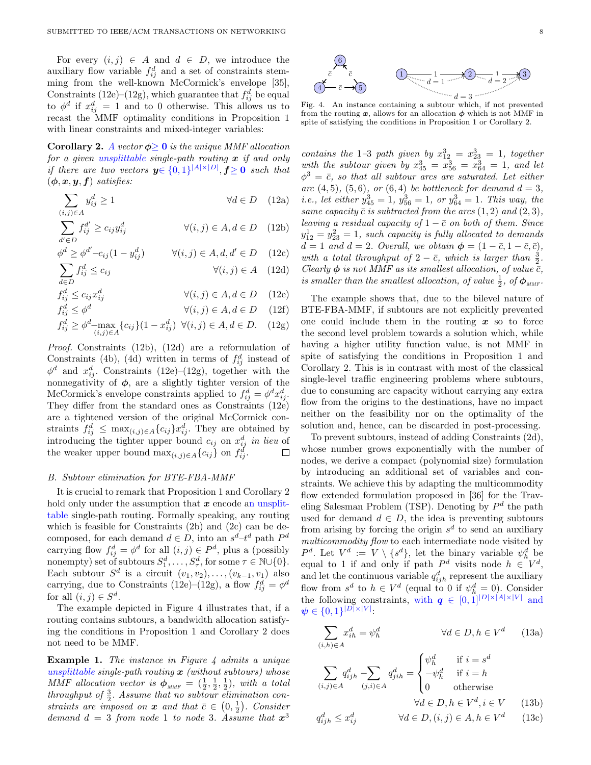For every  $(i, j) \in A$  and  $d \in D$ , we introduce the auxiliary flow variable  $f_{ij}^d$  and a set of constraints stemming from the well-known McCormick's envelope [35], Constraints (12e)–(12g), which guarantee that  $f_{ij}^d$  be equal to  $\phi^d$  if  $x_{ij}^d = 1$  and to 0 otherwise. This allows us to recast the MMF optimality conditions in Proposition 1 with linear constraints and mixed-integer variables:

**Corollary 2.** A vector  $\phi \geq 0$  is the unique MMF allocation for a given unsplittable single-path routing  $x$  if and only if there are two vectors  $y \in \{0,1\}^{|A| \times |D|}$ ,  $f \ge 0$  such that  $(\boldsymbol{\phi}, \boldsymbol{x}, \boldsymbol{y}, \boldsymbol{f})$  satisfies:

$$
\sum_{(i,j)\in A} y_{ij}^d \ge 1 \qquad \qquad \forall d \in D \quad (12a)
$$

$$
\sum_{d' \in D} f_{ij}^{d'} \ge c_{ij} y_{ij}^d \qquad \forall (i, j) \in A, d \in D \quad (12b)
$$

$$
\phi^d \ge \phi^{d'} - c_{ij}(1 - y_{ij}^d) \qquad \forall (i, j) \in A, d, d' \in D \quad (12c)
$$
  

$$
\sum f_{ij}^d \le c_{ij} \qquad \forall (i, j) \in A \quad (12d)
$$

$$
\overline{d\in D}
$$
\n
$$
f_{ij}^d \le c_{ij} x_{ij}^d \qquad \qquad \forall (i, j) \in A, d \in D \quad (12e)
$$

 $f_{ij}^d \leq \phi$  $\forall (i, j) \in A, d \in D$  (12f)

$$
\begin{array}{ccc}\n \overline{y} & \overline{y} & \overline{y} \\
 \overline{y} & \overline{y} & \overline{y} \\
 \overline{y} & \overline{y} & \overline{y} \\
 \overline{y} & \overline{y} & \overline{y} \\
 \overline{y} & \overline{y} & \overline{y} \\
 \overline{y} & \overline{y} & \overline{y} \\
 \overline{y} & \overline{y} & \overline{y} \\
 \overline{y} & \overline{y} & \overline{y} \\
 \overline{y} & \overline{y} & \overline{y} \\
 \overline{y} & \overline{y} & \overline{y} \\
 \overline{y} & \overline{y} & \overline{y} \\
 \overline{y} & \overline{y} & \overline{y} \\
 \overline{y} & \overline{y} & \overline{y} \\
 \overline{y} & \overline{y} & \overline{y} \\
 \overline{y} & \overline{y} & \overline{y} \\
 \overline{y} & \overline{y} & \overline{y} \\
 \overline{y} & \overline{y} & \overline{y} \\
 \overline{y} & \overline{y} & \overline{y} \\
 \overline{y} & \overline{y} & \overline{y} \\
 \overline{y} & \overline{y} & \overline{y} \\
 \overline{y} & \overline{y} & \overline{y} \\
 \overline{y} & \overline{y} & \overline{y} \\
 \overline{y} & \overline{y} & \overline{y} \\
 \overline{y} & \overline{y} & \overline{y} \\
 \overline{y} & \overline{y} & \overline{y} \\
 \overline{y} & \overline{y} & \overline{y} \\
 \overline{y} & \overline{y} & \overline{y} \\
 \overline{y} & \overline{y} & \overline{y} \\
 \overline{y} & \overline{y} & \overline{y} \\
 \overline{y} & \overline{y} & \overline{y} \\
 \overline{y} & \overline{y} & \overline{y} \\
 \overline{y} & \overline{y} & \overline{y} \\
 \overline{y} & \overline{y} & \overline{y} \\
 \overline{y} & \overline{y} & \overline{y} \\
 \overline{y} & \overline{y} & \overline{y} \\
 \overline{y} & \overline{y} & \overline
$$

$$
f_{ij}^d \ge \phi^d - \max_{(i,j)\in A} \{c_{ij}\}(1 - x_{ij}^d) \ \ \forall (i,j) \in A, d \in D. \tag{12g}
$$

Proof. Constraints (12b), (12d) are a reformulation of Constraints (4b), (4d) written in terms of  $f_{ij}^d$  instead of  $\phi^d$  and  $x_{ij}^d$ . Constraints (12e)–(12g), together with the nonnegativity of  $\phi$ , are a slightly tighter version of the McCormick's envelope constraints applied to  $f_{ij}^d = \phi^d x_{ij}^d$ . They differ from the standard ones as Constraints (12e) are a tightened version of the original McCormick constraints  $f_{ij}^d \n\t\leq \max_{(i,j)\in A} \{c_{ij}\} x_{ij}^d$ . They are obtained by introducing the tighter upper bound  $c_{ij}$  on  $x_{ij}^d$  in lieu of the weaker upper bound  $\max_{(i,j)\in A} \{c_{ij}\}\$  on  $f_{ij}^d$ .  $\Box$ 

# B. Subtour elimination for BTE-FBA-MMF

It is crucial to remark that Proposition 1 and Corollary 2 hold only under the assumption that  $x$  encode an unsplittable single-path routing. Formally speaking, any routing which is feasible for Constraints (2b) and (2c) can be decomposed, for each demand  $d \in D$ , into an  $s^d$ -t<sup>d</sup> path  $P^d$ carrying flow  $f_{ij}^d = \phi^d$  for all  $(i, j) \in P^d$ , plus a (possibly nonempty) set of subtours  $S_1^d, \ldots, S_{\tau}^d$ , for some  $\tau \in \mathbb{N} \cup \{0\}$ . Each subtour  $S^d$  is a circuit  $(v_1, v_2), \ldots, (v_{k-1}, v_1)$  also carrying, due to Constraints (12e)–(12g), a flow  $f_{ij}^d = \phi^d$ for all  $(i, j) \in S^d$ .

The example depicted in Figure 4 illustrates that, if a routing contains subtours, a bandwidth allocation satisfying the conditions in Proposition 1 and Corollary 2 does not need to be MMF.

**Example 1.** The instance in Figure  $\ddot{4}$  admits a unique unsplittable single-path routing  $x$  (without subtours) whose MMF allocation vector is  $\phi_{\scriptscriptstyle MMF} = (\frac{1}{2}, \frac{1}{2}, \frac{1}{2})$ , with a total throughput of  $\frac{3}{2}$ . Assume that no subtour elimination constraints are imposed on x and that  $\bar{c} \in (0, \frac{1}{2})$ . Consider demand  $d = 3$  from node 1 to node 3. Assume that  $x^3$ 



Fig. 4. An instance containing a subtour which, if not prevented from the routing  $x$ , allows for an allocation  $\phi$  which is not MMF in spite of satisfying the conditions in Proposition 1 or Corollary 2.

contains the 1-3 path given by  $x_{12}^3 = x_{23}^3 = 1$ , together with the subtour given by  $x_{45}^3 = x_{56}^3 = x_{64}^3 = 1$ , and let  $\phi^3 = \bar{c}$ , so that all subtour arcs are saturated. Let either arc  $(4, 5)$ ,  $(5, 6)$ , or  $(6, 4)$  be bottleneck for demand  $d = 3$ , *i.e.*, let either  $y_{45}^3 = 1$ ,  $y_{56}^3 = 1$ , or  $y_{64}^3 = 1$ . This way, the same capacity  $\bar{c}$  is subtracted from the arcs  $(1, 2)$  and  $(2, 3)$ , leaving a residual capacity of  $1 - \bar{c}$  on both of them. Since  $y_{12}^1 = y_{23}^2 = 1$ , such capacity is fully allocated to demands  $d = 1$  and  $d = 2$ . Overall, we obtain  $\phi = (1 - \bar{c}, 1 - \bar{c}, \bar{c})$ , with a total throughput of  $2 - \bar{c}$ , which is larger than  $\frac{3}{2}$ . Clearly  $\phi$  is not MMF as its smallest allocation, of value  $\overline{c}$ , is smaller than the smallest allocation, of value  $\frac{1}{2}$ , of  $\phi_{\scriptscriptstyle MMF}$ .

The example shows that, due to the bilevel nature of BTE-FBA-MMF, if subtours are not explicitly prevented one could include them in the routing  $x$  so to force the second level problem towards a solution which, while having a higher utility function value, is not MMF in spite of satisfying the conditions in Proposition 1 and Corollary 2. This is in contrast with most of the classical single-level traffic engineering problems where subtours, due to consuming arc capacity without carrying any extra flow from the origins to the destinations, have no impact neither on the feasibility nor on the optimality of the solution and, hence, can be discarded in post-processing.

To prevent subtours, instead of adding Constraints (2d), whose number grows exponentially with the number of nodes, we derive a compact (polynomial size) formulation by introducing an additional set of variables and constraints. We achieve this by adapting the multicommodity flow extended formulation proposed in [36] for the Traveling Salesman Problem (TSP). Denoting by  $P<sup>d</sup>$  the path used for demand  $d \in D$ , the idea is preventing subtours from arising by forcing the origin  $s^d$  to send an auxiliary multicommodity flow to each intermediate node visited by  $P^d$ . Let  $V^d := V \setminus \{s^d\}$ , let the binary variable  $\psi^d_h$  be equal to 1 if and only if path  $P^d$  visits node  $h \in V^d$ , and let the continuous variable  $q_{ijh}^d$  represent the auxiliary flow from  $s^d$  to  $h \in V^d$  (equal to 0 if  $\psi_h^d = 0$ ). Consider the following constraints, with  $q \in [0,1]^{|D| \times |A| \times |V|}$  and  $\boldsymbol{\psi} \in \{0,1\}^{|D| \times |V|}$ :

$$
\sum_{(i,h)\in A} x_{ih}^d = \psi_h^d \qquad \forall d \in D, h \in V^d \qquad (13a)
$$

$$
\sum_{(i,j)\in A} q_{ijh}^d - \sum_{(j,i)\in A} q_{jih}^d = \begin{cases} \psi_h^d & \text{if } i = s^d \\ -\psi_h^d & \text{if } i = h \\ 0 & \text{otherwise} \end{cases}
$$

$$
\forall d \in D, h \in V^d, i \in V \qquad (13b)
$$

$$
q_{ijh}^d \le x_{ij}^d \qquad \qquad \forall d \in D, (i, j) \in A, h \in V^d \qquad (13c)
$$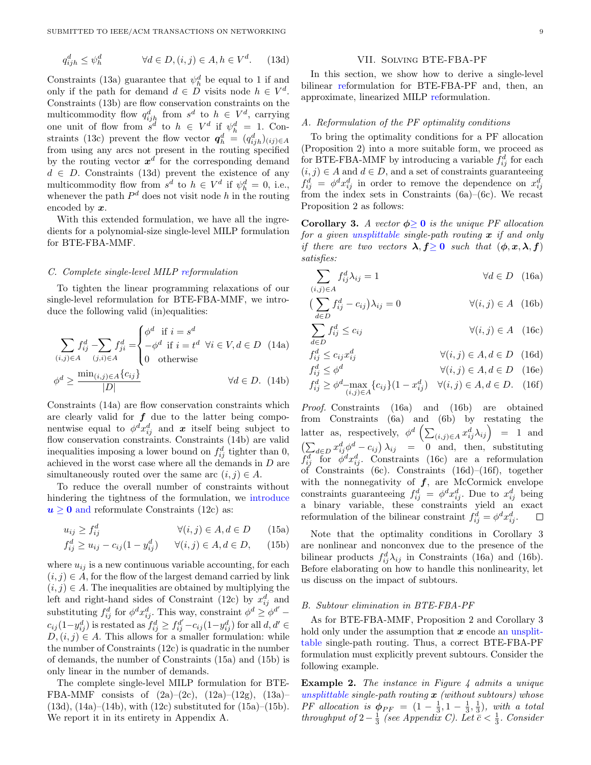$$
q_{ijh}^d \le \psi_h^d \qquad \forall d \in D, (i, j) \in A, h \in V^d. \tag{13d}
$$

Constraints (13a) guarantee that  $\psi_h^d$  be equal to 1 if and only if the path for demand  $d \in D$  visits node  $h \in V^d$ . Constraints (13b) are flow conservation constraints on the multicommodity flow  $q_{ijh}^d$  from  $s^d$  to  $h \in V^d$ , carrying one unit of flow from  $s^d$  to  $h \in V^d$  if  $\psi_h^d = 1$ . Constraints (13c) prevent the flow vector  $q_h^d = (q_{ijh}^d)_{(ij)\in A}$ from using any arcs not present in the routing specified by the routing vector  $x^d$  for the corresponding demand  $d \in D$ . Constraints (13d) prevent the existence of any multicommodity flow from  $s^d$  to  $h \in V^d$  if  $\psi_h^d = 0$ , i.e., whenever the path  $P<sup>d</sup>$  does not visit node h in the routing encoded by  $x$ .

With this extended formulation, we have all the ingredients for a polynomial-size single-level MILP formulation for BTE-FBA-MMF.

# C. Complete single-level MILP reformulation

To tighten the linear programming relaxations of our single-level reformulation for BTE-FBA-MMF, we introduce the following valid (in)equalities:

$$
\sum_{(i,j)\in A} f_{ij}^d - \sum_{(j,i)\in A} f_{ji}^d = \begin{cases} \phi^d & \text{if } i = s^d \\ -\phi^d & \text{if } i = t^d \ \forall i \in V, d \in D \ (14a) \\ 0 & \text{otherwise} \end{cases}
$$

$$
\phi^d \ge \frac{\min_{(i,j)\in A} \{c_{ij}\}}{|D|} \qquad \forall d \in D. \ (14b)
$$

Constraints (14a) are flow conservation constraints which are clearly valid for  $f$  due to the latter being componentwise equal to  $\phi^d x_{ij}^d$  and x itself being subject to flow conservation constraints. Constraints (14b) are valid inequalities imposing a lower bound on  $f_{ij}^d$  tighter than 0, achieved in the worst case where all the demands in D are simultaneously routed over the same arc  $(i, j) \in A$ .

To reduce the overall number of constraints without hindering the tightness of the formulation, we introduce  $u \geq 0$  and reformulate Constraints (12c) as:

$$
u_{ij} \ge f_{ij}^d \qquad \qquad \forall (i, j) \in A, d \in D \qquad (15a)
$$

$$
f_{ij}^d \ge u_{ij} - c_{ij}(1 - y_{ij}^d) \qquad \forall (i, j) \in A, d \in D,
$$
 (15b)

where  $u_{ij}$  is a new continuous variable accounting, for each  $(i, j) \in A$ , for the flow of the largest demand carried by link  $(i, j) \in A$ . The inequalities are obtained by multiplying the left and right-hand sides of Constraint (12c) by  $x_{ij}^d$  and substituting  $f_{ij}^d$  for  $\phi^d x_{ij}^d$ . This way, constraint  $\phi^d \geq \phi^{d'}$  $c_{ij}(1-y_{ij}^d)$  is restated as  $f_{ij}^d \geq f_{ij}^{d'} - c_{ij}(1-y_{ij}^d)$  for all  $d, d' \in$  $D, (i, j) \in A$ . This allows for a smaller formulation: while the number of Constraints (12c) is quadratic in the number of demands, the number of Constraints (15a) and (15b) is only linear in the number of demands.

The complete single-level MILP formulation for BTE-FBA-MMF consists of  $(2a)-(2c)$ ,  $(12a)-(12g)$ ,  $(13a)$  $(13d)$ ,  $(14a)$ – $(14b)$ , with  $(12c)$  substituted for  $(15a)$ – $(15b)$ . We report it in its entirety in Appendix A.

#### VII. Solving BTE-FBA-PF

In this section, we show how to derive a single-level bilinear reformulation for BTE-FBA-PF and, then, an approximate, linearized MILP reformulation.

# A. Reformulation of the PF optimality conditions

To bring the optimality conditions for a PF allocation (Proposition 2) into a more suitable form, we proceed as for BTE-FBA-MMF by introducing a variable  $f_{ij}^d$  for each  $(i, j) \in A$  and  $d \in D$ , and a set of constraints guaranteeing  $f_{ij}^d = \phi^d x_{ij}^d$  in order to remove the dependence on  $x_{ij}^d$ from the index sets in Constraints  $(6a)–(6c)$ . We recast Proposition 2 as follows:

**Corollary 3.** A vector  $\phi \geq 0$  is the unique PF allocation for a given unsplittable single-path routing  $x$  if and only if there are two vectors  $\lambda, f \geq 0$  such that  $(\phi, x, \lambda, f)$ satisfies:

$$
\sum_{(i,j)\in A} f_{ij}^d \lambda_{ij} = 1 \qquad \qquad \forall d \in D \quad (16a)
$$

$$
\left(\sum_{d \in D} f_{ij}^d - c_{ij}\right) \lambda_{ij} = 0 \qquad \forall (i, j) \in A \quad (16b)
$$

$$
\sum_{d \in D} f_{ij}^d \le c_{ij} \qquad \qquad \forall (i, j) \in A \quad (16c)
$$

$$
f_{ij}^d \le c_{ij} x_{ij}^d \qquad \qquad \forall (i, j) \in A, d \in D \quad (16d)
$$

$$
f_{ij}^d \le \phi^d \qquad \qquad \forall (i, j) \in A, d \in D \quad (16e)
$$

$$
f_{ij}^d \ge \phi^d - \max_{(i,j)\in A} \{c_{ij}\}(1 - x_{ij}^d) \quad \forall (i,j) \in A, d \in D. \tag{16f}
$$

Proof. Constraints (16a) and (16b) are obtained from Constraints (6a) and (6b) by restating the latter as, respectively,  $\phi^d \left( \sum_{(i,j) \in A} x_{ij}^d \lambda_{ij} \right) = 1$  and  $\left(\sum_{d\in D} x_{ij}^d \phi^d - c_{ij}\right) \lambda_{ij} = 0$  and, then, substituting  $f_{ij}^d$  for  $\phi^d x_{ij}^d$ . Constraints (16c) are a reformulation of Constraints (6c). Constraints (16d)–(16f), together with the nonnegativity of  $f$ , are McCormick envelope constraints guaranteeing  $f_{ij}^d = \phi^d x_{ij}^d$ . Due to  $x_{ij}^d$  being a binary variable, these constraints yield an exact reformulation of the bilinear constraint  $f_{ij}^d = \phi^d x_{ij}^d$ .

Note that the optimality conditions in Corollary 3 are nonlinear and nonconvex due to the presence of the bilinear products  $f_{ij}^d \lambda_{ij}$  in Constraints (16a) and (16b). Before elaborating on how to handle this nonlinearity, let us discuss on the impact of subtours.

# B. Subtour elimination in BTE-FBA-PF

As for BTE-FBA-MMF, Proposition 2 and Corollary 3 hold only under the assumption that  $x$  encode an unsplittable single-path routing. Thus, a correct BTE-FBA-PF formulation must explicitly prevent subtours. Consider the following example.

**Example 2.** The instance in Figure  $\frac{1}{4}$  admits a unique unsplittable single-path routing  $x$  (without subtours) whose *PF* allocation is  $\phi_{PF} = (1 - \frac{1}{3}, 1 - \frac{1}{3}, \frac{1}{3})$ , with a total throughput of  $2-\frac{1}{3}$  (see Appendix C). Let  $\overline{c} < \frac{1}{3}$ . Consider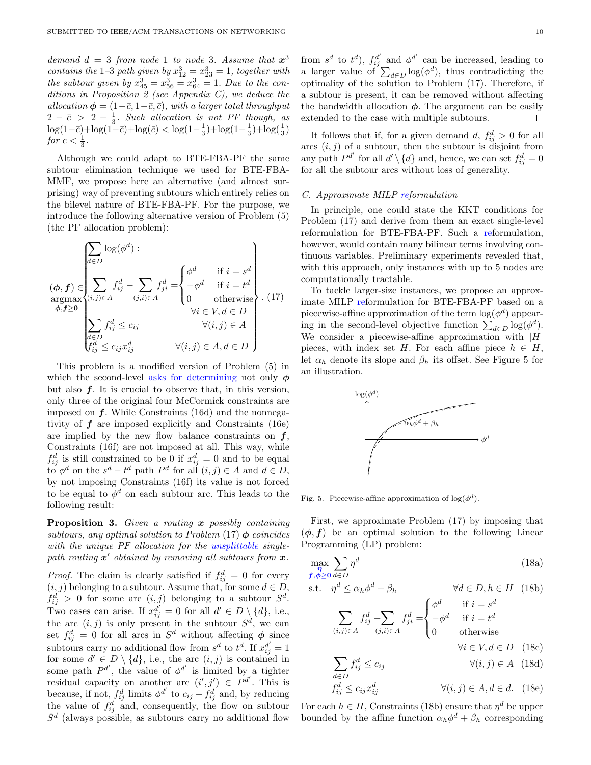demand  $d = 3$  from node 1 to node 3. Assume that  $x^3$ contains the 1-3 path given by  $x_{12}^3 = x_{23}^3 = 1$ , together with the subtour given by  $x_{45}^3 = x_{56}^3 = x_{64}^3 = 1$ . Due to the conditions in Proposition 2 (see Appendix C), we deduce the allocation  $\phi = (1-\bar{c}, 1-\bar{c}, \bar{c})$ , with a larger total throughput  $2 - \bar{c} > 2 - \frac{1}{3}$ . Such allocation is not PF though, as  $\log(1-\bar{c}) + \log(1-\bar{c}) + \log(\bar{c}) < \log(1-\frac{1}{3}) + \log(1-\frac{1}{3}) + \log(\frac{1}{3})$ for  $c < \frac{1}{3}$ .

Although we could adapt to BTE-FBA-PF the same subtour elimination technique we used for BTE-FBA-MMF, we propose here an alternative (and almost surprising) way of preventing subtours which entirely relies on the bilevel nature of BTE-FBA-PF. For the purpose, we introduce the following alternative version of Problem (5) (the PF allocation problem):

$$
(\phi, f) \in \n\begin{cases}\n\sum_{d \in D} \log(\phi^d) : \\
\sum_{i,j \in A} f_{ij}^d - \sum_{(j,i) \in A} f_{ji}^d = \n\begin{cases}\n\phi^d & \text{if } i = s^d \\
-\phi^d & \text{if } i = t^d \\
0 & \text{otherwise} \\
\forall i \in V, d \in D \\
\sum_{d \in D} f_{ij}^d \le c_{ij} & \forall (i,j) \in A \\
f_{ij}^d \le c_{ij} x_{ij}^d & \forall (i,j) \in A, d \in D\n\end{cases}.\n\end{cases}
$$
\n(17)

This problem is a modified version of Problem (5) in which the second-level asks for determining not only  $\phi$ but also  $f$ . It is crucial to observe that, in this version, only three of the original four McCormick constraints are imposed on  $f$ . While Constraints (16d) and the nonnegativity of  $f$  are imposed explicitly and Constraints (16e) are implied by the new flow balance constraints on  $f$ , Constraints (16f) are not imposed at all. This way, while  $f_{ij}^d$  is still constrained to be 0 if  $x_{ij}^d = 0$  and to be equal to  $\phi^d$  on the  $s^d - t^d$  path  $P^d$  for all  $(i, j) \in A$  and  $d \in D$ , by not imposing Constraints (16f) its value is not forced to be equal to  $\phi^d$  on each subtour arc. This leads to the following result:

**Proposition 3.** Given a routing  $x$  possibly containing subtours, any optimal solution to Problem  $(17)$   $\phi$  coincides with the unique PF allocation for the unsplittable singlepath routing  $x'$  obtained by removing all subtours from  $x$ .

*Proof.* The claim is clearly satisfied if  $f_{ij}^d = 0$  for every  $(i, j)$  belonging to a subtour. Assume that, for some  $d \in D$ ,  $f_{ij}^d > 0$  for some arc  $(i, j)$  belonging to a subtour  $S^d$ . Two cases can arise. If  $x_{ij}^{d'} = 0$  for all  $d' \in D \setminus \{d\}$ , i.e., the arc  $(i, j)$  is only present in the subtour  $S^d$ , we can set  $f_{ij}^d = 0$  for all arcs in  $S^d$  without affecting  $\phi$  since subtours carry no additional flow from  $s^d$  to  $t^d$ . If  $x_{ij}^{d'} = 1$ for some  $d' \in D \setminus \{d\}$ , i.e., the arc  $(i, j)$  is contained in some path  $P^{d'}$ , the value of  $\phi^{d'}$  is limited by a tighter residual capacity on another arc  $(i', j') \in P^{d'}$ . This is because, if not,  $f_{ij}^d$  limits  $\phi^{d'}$  to  $c_{ij} - f_{ij}^{d'}$  and, by reducing the value of  $f_{ij}^d$  and, consequently, the flow on subtour  $S<sup>d</sup>$  (always possible, as subtours carry no additional flow

from  $s^d$  to  $t^d$ ),  $f_{ij}^{d'}$  and  $\phi^{d'}$  can be increased, leading to a larger value of  $\sum_{d \in D} \log(\phi^d)$ , thus contradicting the optimality of the solution to Problem (17). Therefore, if a subtour is present, it can be removed without affecting the bandwidth allocation  $\phi$ . The argument can be easily extended to the case with multiple subtours.  $\Box$ 

It follows that if, for a given demand d,  $f_{ij}^d > 0$  for all arcs  $(i, j)$  of a subtour, then the subtour is disjoint from any path  $P^{d'}$  for all  $d' \setminus \{d\}$  and, hence, we can set  $f_{ij}^d = 0$ for all the subtour arcs without loss of generality.

# C. Approximate MILP reformulation

In principle, one could state the KKT conditions for Problem (17) and derive from them an exact single-level reformulation for BTE-FBA-PF. Such a reformulation, however, would contain many bilinear terms involving continuous variables. Preliminary experiments revealed that, with this approach, only instances with up to 5 nodes are computationally tractable.

To tackle larger-size instances, we propose an approximate MILP reformulation for BTE-FBA-PF based on a piecewise-affine approximation of the term  $log(\phi^d)$  appearing in the second-level objective function  $\sum_{d \in D} \log(\phi^d)$ . We consider a piecewise-affine approximation with  $|H|$ pieces, with index set H. For each affine piece  $h \in H$ , let  $\alpha_h$  denote its slope and  $\beta_h$  its offset. See Figure 5 for an illustration.



Fig. 5. Piecewise-affine approximation of  $\log(\phi^d)$ .

First, we approximate Problem (17) by imposing that  $(\phi, f)$  be an optimal solution to the following Linear Programming (LP) problem:

$$
\max_{\eta} \sum_{\phi \ge 0} \eta^d \tag{18a}
$$

s.t.  $\eta^d \leq \alpha_h \phi$  $\in H$  (18b)  $\sum$  $(i,j) \in A$  $f_{ij}^d$  – $\sum$  $(j,i) \in A$  $f_{ji}^d =$  $\sqrt{ }$  $\int$  $\mathcal{L}$  $\phi^d$  if  $i = s^d$  $-\phi^d$  if  $i = t^d$ 0 otherwise  $\forall i \in V, d \in D$  (18c)  $\sum$ d∈D  $f_{ij}^d$  $\forall (i, j) \in A$  (18d)

$$
f_{ij}^d \le c_{ij} x_{ij}^d \qquad \qquad \forall (i, j) \in A, d \in d. \quad (18e)
$$

For each  $h \in H$ , Constraints (18b) ensure that  $\eta^d$  be upper bounded by the affine function  $\alpha_h \phi^d + \beta_h$  corresponding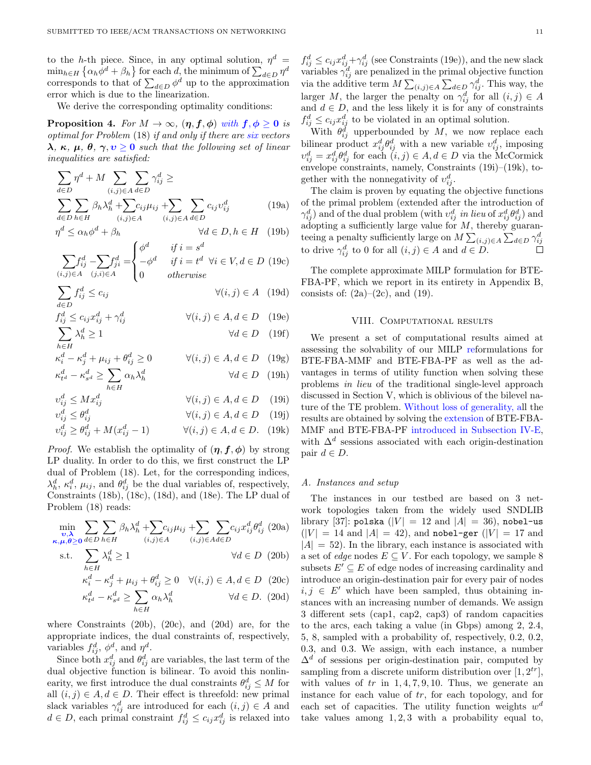to the h-th piece. Since, in any optimal solution,  $\eta^d$  =  $\min_{h \in H} \{ \alpha_h \phi^d + \beta_h \}$  for each d, the minimum of  $\sum_{d \in D} \eta^d$ corresponds to that of  $\sum_{d \in D} \phi^d$  up to the approximation error which is due to the linearization.

We derive the corresponding optimality conditions:

**Proposition 4.** For  $M \to \infty$ ,  $(\eta, f, \phi)$  with  $f, \phi \geq 0$  is optimal for Problem (18) if and only if there are six vectors  $\lambda$ ,  $\kappa$ ,  $\mu$ ,  $\theta$ ,  $\gamma$ ,  $v \ge 0$  such that the following set of linear inequalities are satisfied:

$$
\sum_{d \in D} \eta^d + M \sum_{(i,j) \in A} \sum_{d \in D} \gamma_{ij}^d \ge
$$
\n
$$
\sum_{d \in D} \sum_{h \in H} \beta_h \lambda_h^d + \sum_{(i,j) \in A} c_{ij} \mu_{ij} + \sum_{(i,j) \in A} \sum_{d \in D} c_{ij} v_{ij}^d \qquad (19a)
$$

$$
\eta^d \le \alpha_h \phi^d + \beta_h \qquad \forall d \in D, h \in H \quad (19b)
$$

$$
\sum_{(i,j)\in A} f_{ij}^d - \sum_{(j,i)\in A} f_{ji}^d = \begin{cases} \phi^d & \text{if } i = s^d \\ -\phi^d & \text{if } i = t^d \ \forall i \in V, d \in D \ (19c) \\ 0 & \text{otherwise} \end{cases}
$$

 $\sum$ d∈D  $f_{i}^{d}$  $\forall (i, j) \in A$  (19d)

$$
f_{ij}^d \le c_{ij} x_{ij}^d + \gamma_{ij}^d \qquad \qquad \forall (i, j) \in A, d \in D \quad (19e)
$$

$$
\sum_{h \in H} \lambda_h^d \ge 1 \qquad \qquad \forall d \in D \quad (19f)
$$

$$
\kappa_i^d - \kappa_j^d + \mu_{ij} + \theta_{ij}^d \ge 0 \qquad \forall (i, j) \in A, d \in D \quad (19g)
$$
  

$$
\kappa_{id}^d - \kappa_{id}^d > \sum \alpha_k \lambda_k^d \qquad \forall d \in D \quad (19h)
$$

$$
\kappa_{t^d}^d - \kappa_{s^d}^d \ge \sum_{h \in H} \alpha_h \lambda_h^d \qquad \qquad \forall d \in D \quad (19h)
$$

$$
\upsilon_{ij}^d \le M x_{ij}^d \qquad \qquad \forall (i, j) \in A, d \in D \quad (19i)
$$

$$
\upsilon_{ij}^d \le \theta_{ij}^d \qquad \qquad \forall (i,j) \in A, d \in D \quad (19j)
$$

$$
v_{ij}^d \ge \theta_{ij}^d + M(x_{ij}^d - 1) \qquad \forall (i, j) \in A, d \in D. \tag{19k}
$$

*Proof.* We establish the optimality of  $(\eta, f, \phi)$  by strong LP duality. In order to do this, we first construct the LP dual of Problem (18). Let, for the corresponding indices,  $\lambda_h^d$ ,  $\kappa_i^d$ ,  $\mu_{ij}$ , and  $\theta_{ij}^d$  be the dual variables of, respectively, Constraints  $(18b)$ ,  $(18c)$ ,  $(18d)$ , and  $(18e)$ . The LP dual of Problem (18) reads:

$$
\min_{\substack{v,\lambda\\ \kappa,\mu,\theta\geq 0}} \sum_{d\in D} \sum_{h\in H} \beta_h \lambda_h^d + \sum_{(i,j)\in A} c_{ij} \mu_{ij} + \sum_{(i,j)\in Ad\in D} c_{ij} x_{ij}^d \theta_{ij}^d
$$
 (20a)

s.t. 
$$
\sum_{h \in H} \lambda_h^d \ge 1 \qquad \forall d \in D \text{ (20b)}
$$

$$
\kappa_i^d - \kappa_j^d + \mu_{ij} + \theta_{ij}^d \ge 0 \quad \forall (i, j) \in A, d \in D \quad (20c)
$$

$$
\kappa_{t^d}^d - \kappa_{s^d}^d \ge \sum_{h \in H} \alpha_h \lambda_h^d \qquad \qquad \forall d \in D. \tag{20d}
$$

where Constraints  $(20b)$ ,  $(20c)$ , and  $(20d)$  are, for the appropriate indices, the dual constraints of, respectively, variables  $f_{ij}^d$ ,  $\phi^d$ , and  $\eta^d$ .

Since both  $x_{ij}^d$  and  $\theta_{ij}^d$  are variables, the last term of the dual objective function is bilinear. To avoid this nonlinearity, we first introduce the dual constraints  $\theta_{ij}^d \leq M$  for all  $(i, j) \in A, d \in D$ . Their effect is threefold: new primal slack variables  $\gamma_{ij}^d$  are introduced for each  $(i, j) \in A$  and  $d \in D$ , each primal constraint  $f_{ij}^d \leq c_{ij} x_{ij}^d$  is relaxed into

 $f_{ij}^d \leq c_{ij} x_{ij}^d + \gamma_{ij}^d$  (see Constraints (19e)), and the new slack variables  $\gamma_{ij}^d$  are penalized in the primal objective function via the additive term  $M \sum_{(i,j) \in A} \sum_{d \in D} \gamma_{ij}^d$ . This way, the larger M, the larger the penalty on  $\gamma_{ij}^d$  for all  $(i, j) \in A$ and  $d \in D$ , and the less likely it is for any of constraints  $f_{ij}^d \leq c_{ij} x_{ij}^d$  to be violated in an optimal solution.

With  $\theta_{ij}^d$  upperbounded by M, we now replace each bilinear product  $x_{ij}^d \theta_{ij}^d$  with a new variable  $v_{ij}^d$ , imposing  $v_{ij}^d = x_{ij}^d \theta_{ij}^d$  for each  $(i, j) \in A, d \in D$  via the McCormick envelope constraints, namely, Constraints (19i)–(19k), together with the nonnegativity of  $v_{ij}^d$ .

The claim is proven by equating the objective functions of the primal problem (extended after the introduction of  $\gamma_{ij}^d$ ) and of the dual problem (with  $v_{ij}^d$  in lieu of  $x_{ij}^d \theta_{ij}^d$ ) and adopting a sufficiently large value for  $M$ , thereby guaranteeing a penalty sufficiently large on  $M \sum_{(i,j) \in A} \sum_{d \in D} \gamma_{ij}^d$ to drive  $\gamma_{ij}^d$  to 0 for all  $(i, j) \in A$  and  $d \in D$ .

The complete approximate MILP formulation for BTE-FBA-PF, which we report in its entirety in Appendix B, consists of:  $(2a)$ – $(2c)$ , and  $(19)$ .

#### VIII. COMPUTATIONAL RESULTS

We present a set of computational results aimed at assessing the solvability of our MILP reformulations for BTE-FBA-MMF and BTE-FBA-PF as well as the advantages in terms of utility function when solving these problems in lieu of the traditional single-level approach discussed in Section V, which is oblivious of the bilevel nature of the TE problem. Without loss of generality, all the results are obtained by solving the extension of BTE-FBA-MMF and BTE-FBA-PF introduced in Subsection IV-E, with  $\Delta^d$  sessions associated with each origin-destination pair  $d \in D$ .

## A. Instances and setup

The instances in our testbed are based on 3 network topologies taken from the widely used SNDLIB library [37]: polska  $(|V| = 12$  and  $|A| = 36$ ), nobel-us  $(|V| = 14$  and  $|A| = 42$ ), and nobel-ger  $(|V| = 17$  and  $|A| = 52$ ). In the library, each instance is associated with a set of *edge* nodes  $E \subseteq V$ . For each topology, we sample 8 subsets  $E' \subseteq E$  of edge nodes of increasing cardinality and introduce an origin-destination pair for every pair of nodes  $i, j \in E'$  which have been sampled, thus obtaining instances with an increasing number of demands. We assign 3 different sets (cap1, cap2, cap3) of random capacities to the arcs, each taking a value (in Gbps) among 2, 2.4, 5, 8, sampled with a probability of, respectively, 0.2, 0.2, 0.3, and 0.3. We assign, with each instance, a number  $\Delta^d$  of sessions per origin-destination pair, computed by sampling from a discrete uniform distribution over  $[1, 2<sup>tr</sup>]$ , with values of  $tr$  in  $1, 4, 7, 9, 10$ . Thus, we generate an instance for each value of tr, for each topology, and for each set of capacities. The utility function weights  $w<sup>d</sup>$ take values among  $1, 2, 3$  with a probability equal to,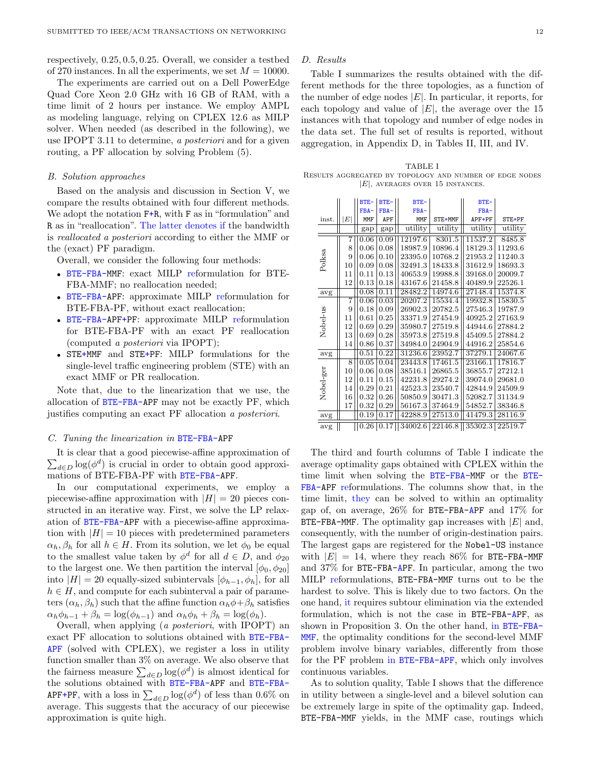respectively, 0.25, 0.5, 0.25. Overall, we consider a testbed of 270 instances. In all the experiments, we set  $M = 10000$ .

The experiments are carried out on a Dell PowerEdge Quad Core Xeon 2.0 GHz with 16 GB of RAM, with a time limit of 2 hours per instance. We employ AMPL as modeling language, relying on CPLEX 12.6 as MILP solver. When needed (as described in the following), we use IPOPT 3.11 to determine, a posteriori and for a given routing, a PF allocation by solving Problem (5).

# B. Solution approaches

Based on the analysis and discussion in Section V, we compare the results obtained with four different methods. We adopt the notation  $F+R$ , with F as in "formulation" and R as in "reallocation". The latter denotes if the bandwidth is reallocated a posteriori according to either the MMF or the (exact) PF paradigm.

Overall, we consider the following four methods:

- BTE-FBA-MMF: exact MILP reformulation for BTE-FBA-MMF; no reallocation needed;
- BTE-FBA-APF: approximate MILP reformulation for BTE-FBA-PF, without exact reallocation;
- BTE-FBA-APF+PF: approximate MILP reformulation for BTE-FBA-PF with an exact PF reallocation (computed a posteriori via IPOPT);
- STE+MMF and STE+PF: MILP formulations for the single-level traffic engineering problem (STE) with an exact MMF or PR reallocation.

Note that, due to the linearization that we use, the allocation of BTE-FBA-APF may not be exactly PF, which justifies computing an exact PF allocation a posteriori.

#### C. Tuning the linearization in BTE-FBA-APF

 $\sum_{d \in D} \log(\phi^d)$  is crucial in order to obtain good approxi-It is clear that a good piecewise-affine approximation of mations of BTE-FBA-PF with BTE-FBA-APF.

In our computational experiments, we employ a piecewise-affine approximation with  $|H| = 20$  pieces constructed in an iterative way. First, we solve the LP relaxation of BTE-FBA-APF with a piecewise-affine approximation with  $|H| = 10$  pieces with predetermined parameters  $\alpha_h, \beta_h$  for all  $h \in H$ . From its solution, we let  $\phi_0$  be equal to the smallest value taken by  $\phi^d$  for all  $d \in D$ , and  $\phi_{20}$ to the largest one. We then partition the interval  $[\phi_0, \phi_{20}]$ into  $|H| = 20$  equally-sized subintervals  $[\phi_{h-1}, \phi_h]$ , for all  $h \in H$ , and compute for each subinterval a pair of parameters  $(\alpha_h, \beta_h)$  such that the affine function  $\alpha_h \phi + \beta_h$  satisfies  $\alpha_h \phi_{h-1} + \beta_h = \log(\phi_{h-1})$  and  $\alpha_h \phi_h + \beta_h = \log(\phi_h)$ .

Overall, when applying (a posteriori, with IPOPT) an exact PF allocation to solutions obtained with BTE-FBA-APF (solved with CPLEX), we register a loss in utility function smaller than 3% on average. We also observe that the fairness measure  $\sum_{d \in D} \log(\phi^d)$  is almost identical for the solutions obtained with BTE-FBA-APF and BTE-FBA-APF+PF, with a loss in  $\sum_{d \in D} \log(\phi^d)$  of less than 0.6% on average. This suggests that the accuracy of our piecewise approximation is quite high.

# D. Results

Table I summarizes the results obtained with the different methods for the three topologies, as a function of the number of edge nodes  $|E|$ . In particular, it reports, for each topology and value of  $|E|$ , the average over the 15 instances with that topology and number of edge nodes in the data set. The full set of results is reported, without aggregation, in Appendix D, in Tables II, III, and IV.

TABLE I Results aggregated by topology and number of edge nodes  $|E|$ , averages over 15 instances.

|           |                  | $BTE-$ | BTE-   | BTE-    |         | BTE-            |          |
|-----------|------------------|--------|--------|---------|---------|-----------------|----------|
|           |                  | $FBA-$ | $FBA-$ | $FBA-$  |         | $FBA-$          |          |
| inst.     | $\left E\right $ | MMF    | APF    | MMF     | STE+MMF | $APF+PF$        | $STE+PF$ |
|           |                  | gap    | gap    | utility | utility | utility         | utility  |
|           | 7                | 0.06   | 0.09   | 12197.6 | 8301.5  | 11537.2         | 8485.8   |
|           | 8                | 0.06   | 0.08   | 18987.9 | 10896.4 | 18129.3         | 11293.6  |
| Polksa    | 9                | 0.06   | 0.10   | 23395.0 | 10768.2 | 21953.2         | 11240.3  |
|           | 10               | 0.09   | 0.08   | 32491.3 | 18433.8 | 31612.9         | 18693.3  |
|           | 11               | 0.11   | 0.13   | 40653.9 | 19988.8 | 39168.0         | 20009.7  |
|           | 12               | 0.13   | 0.18   | 43167.6 | 21458.8 | 40489.9         | 22526.1  |
| avg       |                  | 0.08   | 0.11   | 28482.2 | 14974.6 | 27148.4         | 15374.8  |
|           | $\overline{7}$   | 0.06   | 0.03   | 20207.2 | 15534.4 | 19932.8         | 15830.5  |
|           | 9                | 0.18   | 0.09   | 26902.3 | 20782.5 | 27546.3         | 19787.9  |
|           | 11               | 0.61   | 0.25   | 33371.9 | 27454.9 | 40925.2         | 27163.9  |
| Nobel-us  | 12               | 0.69   | 0.29   | 35980.7 | 27519.8 | 44944.6         | 27884.2  |
|           | 13               | 0.69   | 0.28   | 35973.8 | 27519.8 | 45409.5         | 27884.2  |
|           | 14               | 0.86   | 0.37   | 34984.0 | 24904.9 | 44916.2         | 25854.6  |
| avg       |                  | 0.51   | 0.22   | 31236.6 | 23952.7 | 37279.1         | 24067.6  |
|           | $\overline{8}$   | 0.05   | 0.04   | 23443.8 | 17461.5 | 23166.1         | 17816.7  |
| Nobel-ger | 10               | 0.06   | 0.08   | 38516.1 | 26865.5 | 36855.7         | 27212.1  |
|           | 12               | 0.11   | 0.15   | 42231.8 | 29274.2 | 39074.0         | 29681.0  |
|           | 14               | 0.29   | 0.21   | 42523.3 | 23540.7 | 42844.9         | 24509.9  |
|           | 16               | 0.32   | 0.26   | 50850.9 | 30471.3 | 52082.7         | 31134.9  |
|           | 17               | 0.32   | 0.29   | 56167.3 | 37464.9 | 54852.7         | 38346.8  |
| avg       |                  | 0.19   | 0.17   | 42288.9 | 27513.0 | 41479.3         | 28116.9  |
| avg       |                  | 0.26   | 0.17   | 34002.6 |         | 22146.8 35302.3 | 22519.7  |

The third and fourth columns of Table I indicate the average optimality gaps obtained with CPLEX within the time limit when solving the BTE-FBA-MMF or the BTE-FBA-APF reformulations. The columns show that, in the time limit, they can be solved to within an optimality gap of, on average, 26% for BTE-FBA-APF and 17% for BTE-FBA-MMF. The optimality gap increases with  $|E|$  and, consequently, with the number of origin-destination pairs. The largest gaps are registered for the Nobel-US instance with  $|E| = 14$ , where they reach 86% for BTE-FBA-MMF and 37% for BTE-FBA-APF. In particular, among the two MILP reformulations, BTE-FBA-MMF turns out to be the hardest to solve. This is likely due to two factors. On the one hand, it requires subtour elimination via the extended formulation, which is not the case in BTE-FBA-APF, as shown in Proposition 3. On the other hand, in BTE-FBA-MMF, the optimality conditions for the second-level MMF problem involve binary variables, differently from those for the PF problem in BTE-FBA-APF, which only involves continuous variables.

As to solution quality, Table I shows that the difference in utility between a single-level and a bilevel solution can be extremely large in spite of the optimality gap. Indeed, BTE-FBA-MMF yields, in the MMF case, routings which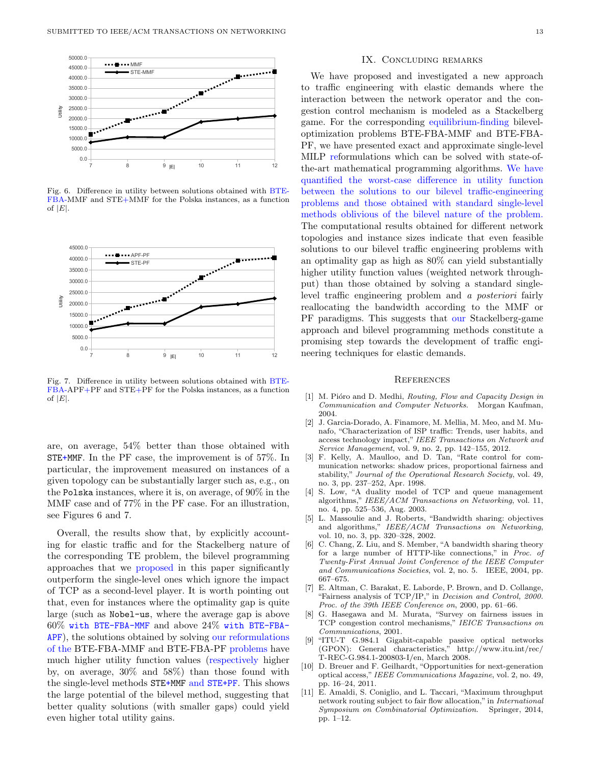

Fig. 6. Difference in utility between solutions obtained with BTE-FBA-MMF and STE+MMF for the Polska instances, as a function of  $|E|$ .



Fig. 7. Difference in utility between solutions obtained with BTE-FBA-APF+PF and STE+PF for the Polska instances, as a function of  $|E|$ .

are, on average, 54% better than those obtained with STE+MMF. In the PF case, the improvement is of 57%. In particular, the improvement measured on instances of a given topology can be substantially larger such as, e.g., on the Polska instances, where it is, on average, of 90% in the MMF case and of 77% in the PF case. For an illustration, see Figures 6 and 7.

Overall, the results show that, by explicitly accounting for elastic traffic and for the Stackelberg nature of the corresponding TE problem, the bilevel programming approaches that we proposed in this paper significantly outperform the single-level ones which ignore the impact of TCP as a second-level player. It is worth pointing out that, even for instances where the optimality gap is quite large (such as Nobel-us, where the average gap is above 60% with BTE-FBA-MMF and above 24% with BTE-FBA-APF), the solutions obtained by solving our reformulations of the BTE-FBA-MMF and BTE-FBA-PF problems have much higher utility function values (respectively higher by, on average, 30% and 58%) than those found with the single-level methods STE+MMF and STE+PF. This shows the large potential of the bilevel method, suggesting that better quality solutions (with smaller gaps) could yield even higher total utility gains.

#### IX. Concluding remarks

We have proposed and investigated a new approach to traffic engineering with elastic demands where the interaction between the network operator and the congestion control mechanism is modeled as a Stackelberg game. For the corresponding equilibrium-finding bileveloptimization problems BTE-FBA-MMF and BTE-FBA-PF, we have presented exact and approximate single-level MILP reformulations which can be solved with state-ofthe-art mathematical programming algorithms. We have quantified the worst-case difference in utility function between the solutions to our bilevel traffic-engineering problems and those obtained with standard single-level methods oblivious of the bilevel nature of the problem. The computational results obtained for different network topologies and instance sizes indicate that even feasible solutions to our bilevel traffic engineering problems with an optimality gap as high as 80% can yield substantially higher utility function values (weighted network throughput) than those obtained by solving a standard singlelevel traffic engineering problem and a posteriori fairly reallocating the bandwidth according to the MMF or PF paradigms. This suggests that our Stackelberg-game approach and bilevel programming methods constitute a promising step towards the development of traffic engineering techniques for elastic demands.

#### **REFERENCES**

- [1] M. Pióro and D. Medhi, Routing, Flow and Capacity Design in Communication and Computer Networks. Morgan Kaufman, 2004.
- [2] J. Garcia-Dorado, A. Finamore, M. Mellia, M. Meo, and M. Munafo, "Characterization of ISP traffic: Trends, user habits, and access technology impact," IEEE Transactions on Network and Service Management, vol. 9, no. 2, pp. 142–155, 2012.
- [3] F. Kelly, A. Maulloo, and D. Tan, "Rate control for communication networks: shadow prices, proportional fairness and stability," Journal of the Operational Research Society, vol. 49, no. 3, pp. 237–252, Apr. 1998.
- [4] S. Low, "A duality model of TCP and queue management algorithms," IEEE/ACM Transactions on Networking, vol. 11, no. 4, pp. 525–536, Aug. 2003.
- [5] L. Massoulie and J. Roberts, "Bandwidth sharing: objectives and algorithms," IEEE/ACM Transactions on Networking, vol. 10, no. 3, pp. 320–328, 2002.
- [6] C. Chang, Z. Liu, and S. Member, "A bandwidth sharing theory for a large number of HTTP-like connections," in Proc. of Twenty-First Annual Joint Conference of the IEEE Computer and Communications Societies, vol. 2, no. 5. IEEE, 2004, pp. 667–675.
- [7] E. Altman, C. Barakat, E. Laborde, P. Brown, and D. Collange, "Fairness analysis of TCP/IP," in Decision and Control, 2000. Proc. of the 39th IEEE Conference on, 2000, pp. 61–66.
- [8] G. Hasegawa and M. Murata, "Survey on fairness issues in TCP congestion control mechanisms," IEICE Transactions on Communications, 2001.
- [9] "ITU-T G.984.1 Gigabit-capable passive optical networks (GPON): General characteristics," http://www.itu.int/rec/ T-REC-G.984.1-200803-I/en, March 2008.
- [10] D. Breuer and F. Geilhardt, "Opportunities for next-generation optical access," IEEE Communications Magazine, vol. 2, no. 49, pp. 16–24, 2011.
- [11] E. Amaldi, S. Coniglio, and L. Taccari, "Maximum throughput network routing subject to fair flow allocation," in International Symposium on Combinatorial Optimization. Springer, 2014, pp. 1–12.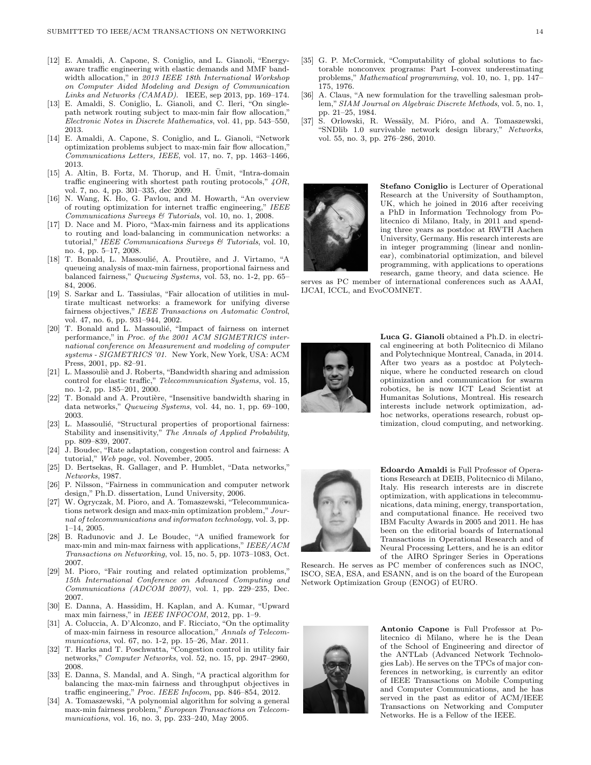- [12] E. Amaldi, A. Capone, S. Coniglio, and L. Gianoli, "Energyaware traffic engineering with elastic demands and MMF bandwidth allocation," in 2013 IEEE 18th International Workshop on Computer Aided Modeling and Design of Communication Links and Networks (CAMAD). IEEE, sep 2013, pp. 169–174.
- [13] E. Amaldi, S. Coniglio, L. Gianoli, and C. Ileri, "On singlepath network routing subject to max-min fair flow allocation," Electronic Notes in Discrete Mathematics, vol. 41, pp. 543–550, 2013.
- [14] E. Amaldi, A. Capone, S. Coniglio, and L. Gianoli, "Network optimization problems subject to max-min fair flow allocation," Communications Letters, IEEE, vol. 17, no. 7, pp. 1463–1466, 2013.
- [15] A. Altin, B. Fortz, M. Thorup, and H. Umit, "Intra-domain traffic engineering with shortest path routing protocols," 4OR, vol. 7, no. 4, pp. 301–335, dec 2009.
- [16] N. Wang, K. Ho, G. Pavlou, and M. Howarth, "An overview of routing optimization for internet traffic engineering," IEEE Communications Surveys & Tutorials, vol. 10, no. 1, 2008.
- [17] D. Nace and M. Pioro, "Max-min fairness and its applications to routing and load-balancing in communication networks: a tutorial," IEEE Communications Surveys & Tutorials, vol. 10, no. 4, pp. 5–17, 2008.
- [18] T. Bonald, L. Massoulié, A. Proutière, and J. Virtamo, "A queueing analysis of max-min fairness, proportional fairness and balanced fairness," Queueing Systems, vol. 53, no. 1-2, pp. 65– 84, 2006.
- [19] S. Sarkar and L. Tassiulas, "Fair allocation of utilities in multirate multicast networks: a framework for unifying diverse fairness objectives," IEEE Transactions on Automatic Control, vol. 47, no. 6, pp. 931–944, 2002.
- [20] T. Bonald and L. Massoulié, "Impact of fairness on internet performance," in Proc. of the 2001 ACM SIGMETRICS international conference on Measurement and modeling of computer systems - SIGMETRICS '01. New York, New York, USA: ACM Press, 2001, pp. 82–91.
- [21] L. Massouliè and J. Roberts, "Bandwidth sharing and admission control for elastic traffic," Telecommunication Systems, vol. 15, no. 1-2, pp. 185–201, 2000.
- [22] T. Bonald and A. Proutière, "Insensitive bandwidth sharing in data networks," Queueing Systems, vol. 44, no. 1, pp. 69–100, 2003.
- [23] L. Massoulié, "Structural properties of proportional fairness: Stability and insensitivity," The Annals of Applied Probability, pp. 809–839, 2007.
- [24] J. Boudec, "Rate adaptation, congestion control and fairness: A tutorial," Web page, vol. November, 2005.
- [25] D. Bertsekas, R. Gallager, and P. Humblet, "Data networks," Networks, 1987.
- [26] P. Nilsson, "Fairness in communication and computer network design," Ph.D. dissertation, Lund University, 2006.
- [27] W. Ogryczak, M. Pioro, and A. Tomaszewski, "Telecommunications network design and max-min optimization problem," Journal of telecommunications and informaton technology, vol. 3, pp. 1–14, 2005.
- [28] B. Radunovic and J. Le Boudec, "A unified framework for max-min and min-max fairness with applications," IEEE/ACM Transactions on Networking, vol. 15, no. 5, pp. 1073–1083, Oct. 2007.
- [29] M. Pioro, "Fair routing and related optimization problems," 15th International Conference on Advanced Computing and Communications (ADCOM 2007), vol. 1, pp. 229–235, Dec. 2007.
- [30] E. Danna, A. Hassidim, H. Kaplan, and A. Kumar, "Upward max min fairness," in IEEE INFOCOM, 2012, pp. 1–9.
- [31] A. Coluccia, A. D'Alconzo, and F. Ricciato, "On the optimality of max-min fairness in resource allocation," Annals of Telecommunications, vol. 67, no. 1-2, pp. 15–26, Mar. 2011.
- [32] T. Harks and T. Poschwatta, "Congestion control in utility fair networks," Computer Networks, vol. 52, no. 15, pp. 2947–2960, 2008.
- [33] E. Danna, S. Mandal, and A. Singh, "A practical algorithm for balancing the max-min fairness and throughput objectives in traffic engineering," Proc. IEEE Infocom, pp. 846–854, 2012.
- [34] A. Tomaszewski, "A polynomial algorithm for solving a general max-min fairness problem," European Transactions on Telecommunications, vol. 16, no. 3, pp. 233–240, May 2005.
- [35] G. P. McCormick, "Computability of global solutions to factorable nonconvex programs: Part I-convex underestimating problems," Mathematical programming, vol. 10, no. 1, pp. 147– 175, 1976.
- [36] A. Claus, "A new formulation for the travelling salesman problem,"SIAM Journal on Algebraic Discrete Methods, vol. 5, no. 1, pp. 21–25, 1984.
- [37] S. Orlowski, R. Wessäly, M. Pióro, and A. Tomaszewski, "SNDlib 1.0 survivable network design library," Networks, vol. 55, no. 3, pp. 276–286, 2010.



Stefano Coniglio is Lecturer of Operational Research at the University of Southampton, UK, which he joined in 2016 after receiving a PhD in Information Technology from Politecnico di Milano, Italy, in 2011 and spending three years as postdoc at RWTH Aachen University, Germany. His research interests are in integer programming (linear and nonlinear), combinatorial optimization, and bilevel programming, with applications to operations research, game theory, and data science. He

serves as PC member of international conferences such as AAAI, IJCAI, ICCL, and EvoCOMNET.



Luca G. Gianoli obtained a Ph.D. in electrical engineering at both Politecnico di Milano and Polytechnique Montreal, Canada, in 2014. After two years as a postdoc at Polytechnique, where he conducted research on cloud optimization and communication for swarm robotics, he is now ICT Lead Scientist at Humanitas Solutions, Montreal. His research interests include network optimization, adhoc networks, operations research, robust optimization, cloud computing, and networking.



Edoardo Amaldi is Full Professor of Operations Research at DEIB, Politecnico di Milano, Italy. His research interests are in discrete optimization, with applications in telecommunications, data mining, energy, transportation, and computational finance. He received two IBM Faculty Awards in 2005 and 2011. He has been on the editorial boards of International Transactions in Operational Research and of Neural Processing Letters, and he is an editor of the AIRO Springer Series in Operations

Research. He serves as PC member of conferences such as INOC, ISCO, SEA, ESA, and ESANN, and is on the board of the European Network Optimization Group (ENOG) of EURO.



Antonio Capone is Full Professor at Politecnico di Milano, where he is the Dean of the School of Engineering and director of the ANTLab (Advanced Network Technologies Lab). He serves on the TPCs of major conferences in networking, is currently an editor of IEEE Transactions on Mobile Computing and Computer Communications, and he has served in the past as editor of ACM/IEEE Transactions on Networking and Computer Networks. He is a Fellow of the IEEE.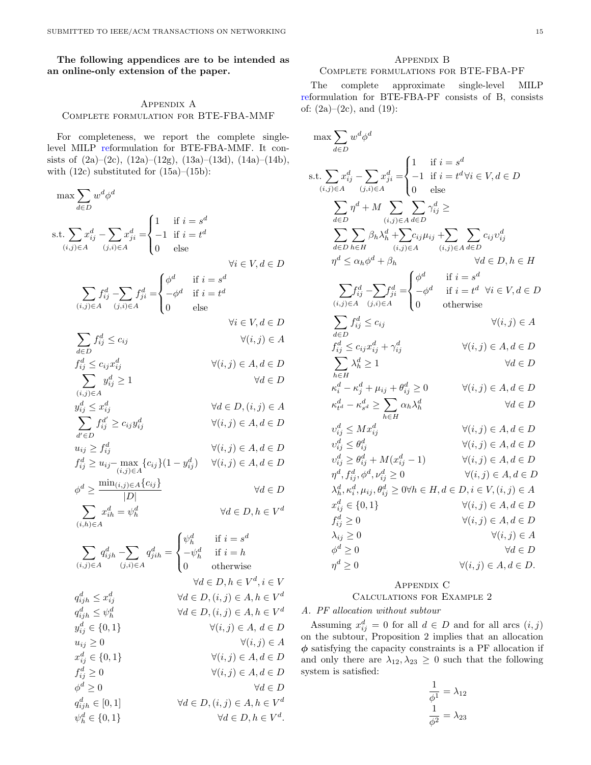The following appendices are to be intended as an online-only extension of the paper.

# Appendix A Complete formulation for BTE-FBA-MMF

For completeness, we report the complete singlelevel MILP reformulation for BTE-FBA-MMF. It consists of  $(2a)$ – $(2c)$ ,  $(12a)$ – $(12g)$ ,  $(13a)$ – $(13d)$ ,  $(14a)$ – $(14b)$ , with  $(12c)$  substituted for  $(15a)$ – $(15b)$ :

$$
\max \sum_{d \in D} w^d \phi^d
$$
\n
$$
\text{s.t.} \sum_{(i,j) \in A} x_{ij}^d - \sum_{(j,i) \in A} x_{ji}^d = \begin{cases} 1 & \text{if } i = s^d \\ -1 & \text{if } i = t^d \end{cases}
$$
\n
$$
\text{s.t.} \sum_{(i,j) \in A} x_{ij}^d - \sum_{(j,i) \in A} x_{ji}^d = \begin{cases} \phi^d & \text{if } i = s^d \\ -\phi^d & \text{if } i = t^d \end{cases}
$$
\n
$$
\forall i \in V, d \in D
$$
\n
$$
\sum_{d \in D} f_{ij}^d \le c_{ij} x_{ij}^d \qquad \forall (i,j) \in A, d \in D
$$
\n
$$
\sum_{(i,j) \in A} y_{ij}^d \ge 1 \qquad \forall d \in D, (i,j) \in A, d \in D
$$
\n
$$
y_{ij}^d \le x_{ij}^d \qquad \forall (i,j) \in A, d \in D
$$
\n
$$
y_{ij}^d \le x_{ij}^d \qquad \forall (i,j) \in A, d \in D
$$
\n
$$
y_{ij}^d \ge x_{ij}^d \qquad \forall (i,j) \in A, d \in D
$$
\n
$$
y_{ij}^d \ge u_{ij} - \max_{(i,j) \in A} \{c_{ij}\} \quad \forall (i,j) \in A, d \in D
$$
\n
$$
\phi^d \ge \frac{\min_{(i,j) \in A} \{c_{ij}\}}{|D|} \qquad \forall (i,j) \in A, d \in D
$$
\n
$$
\phi^d \ge \frac{\min_{(i,j) \in A} \{c_{ij}\}}{|D|} \qquad \forall d \in D, h \in V^d
$$
\n
$$
\text{s.t.} \qquad \sum_{(i,j) \in A} x_{ih}^d = \psi_h^d \qquad \forall d \in D, h \in V^d
$$
\n
$$
\text{s.t.} \qquad \sum_{(i,j) \in A} x_{ij}^d = \psi_h^d \qquad \forall d \in D, h \in V^d
$$
\n
$$
\text{s.t.} \qquad \forall d \in D, h \
$$

# Appendix B

# Complete formulations for BTE-FBA-PF

The complete approximate single-level MILP reformulation for BTE-FBA-PF consists of B, consists of:  $(2a)–(2c)$ , and  $(19)$ :

$$
\max \sum_{d \in D} w^d \phi^d
$$
\n
$$
\text{s.t.} \sum_{(i,j) \in A} x_{ij}^d - \sum_{(j,i) \in A} x_{ji}^d = \begin{cases} 1 & \text{if } i = s^d \\ -1 & \text{if } i = t^d \forall i \in V, d \in D \\ 0 & \text{else} \end{cases}
$$
\n
$$
\sum_{d \in D} \eta^d + M \sum_{(i,j) \in A} \sum_{d \in D} \gamma_{ij}^d \ge
$$
\n
$$
\sum_{d \in D} \sum_{h \in H} \beta_h \lambda_h^d + \sum_{(i,j) \in A} \sum_{(i,j) \in A} \sum_{d \in D} c_{ij} v_{ij}^d
$$
\n
$$
\eta^d \le \alpha_h \phi^d + \beta_h \qquad \forall d \in D, h \in H
$$
\n
$$
\sum_{(i,j) \in A} f_{ij}^d - \sum_{(j,i) \in A} f_{ji}^d = \begin{cases} \phi^d & \text{if } i = s^d \\ -\phi^d & \text{if } i = t^d \ \forall i \in V, d \in D \\ 0 & \text{otherwise} \end{cases}
$$
\n
$$
\sum_{d \in D} f_{ij}^d \le c_{ij} x_{ij}^d + \gamma_{ij}^d \qquad \forall (i,j) \in A, d \in D
$$
\n
$$
\sum_{h \in H} \lambda_h^d = \lambda_h^d + \mu_{ij} + \theta_{ij}^d \ge 0 \qquad \forall (i,j) \in A, d \in D
$$
\n
$$
\alpha_{ij}^d = \kappa_{ji}^d + \mu_{ij} + \theta_{ij}^d \ge 0 \qquad \forall (i,j) \in A, d \in D
$$
\n
$$
\alpha_{ij}^d \le M x_{ij}^d \qquad \forall (i,j) \in A, d \in D
$$
\n
$$
\alpha_{ij}^d \le M x_{ij}^d \qquad \forall (i,j) \in A, d \in D
$$
\n
$$
\gamma_{ij}^d \le \beta_{ij}^d + M(x_{ij}^d - 1) \qquad \forall (i,j) \in A, d \in D
$$
\n
$$
\gamma_{ij}^d \ge \beta_{ij}^d + M(x_{ij}
$$

# Appendix C Calculations for Example 2

# A. PF allocation without subtour

Assuming  $x_{ij}^d = 0$  for all  $d \in D$  and for all arcs  $(i, j)$ on the subtour, Proposition 2 implies that an allocation  $\phi$  satisfying the capacity constraints is a PF allocation if and only there are  $\lambda_{12}, \lambda_{23} \geq 0$  such that the following system is satisfied:

$$
\frac{1}{\phi^1} = \lambda_{12}
$$

$$
\frac{1}{\phi^2} = \lambda_{23}
$$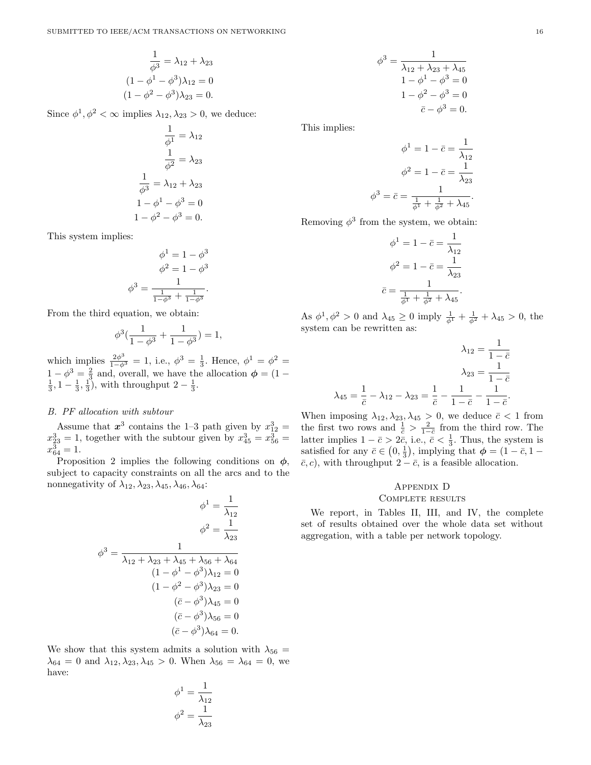$$
\frac{1}{\phi^3} = \lambda_{12} + \lambda_{23}
$$

$$
(1 - \phi^1 - \phi^3)\lambda_{12} = 0
$$

$$
(1 - \phi^2 - \phi^3)\lambda_{23} = 0.
$$

Since  $\phi^1, \phi^2 < \infty$  implies  $\lambda_{12}, \lambda_{23} > 0$ , we deduce:

$$
\frac{1}{\phi^1} = \lambda_{12}
$$

$$
\frac{1}{\phi^2} = \lambda_{23}
$$

$$
\frac{1}{\phi^3} = \lambda_{12} + \lambda_{23}
$$

$$
1 - \phi^1 - \phi^3 = 0
$$

$$
1 - \phi^2 - \phi^3 = 0.
$$

This system implies:

$$
\phi^{1} = 1 - \phi^{3}
$$

$$
\phi^{2} = 1 - \phi^{3}
$$

$$
\phi^{3} = \frac{1}{\frac{1}{1 - \phi^{3}} + \frac{1}{1 - \phi^{3}}}.
$$

From the third equation, we obtain:

$$
\phi^3(\frac{1}{1-\phi^3} + \frac{1}{1-\phi^3}) = 1,
$$

which implies  $\frac{2\phi^3}{1-\phi^3} = 1$ , i.e.,  $\phi^3 = \frac{1}{3}$ . Hence,  $\phi^1 = \phi^2 =$  $1 - \phi^3 = \frac{2}{3}$  and, overall, we have the allocation  $\phi = (1 - \frac{1}{3}, 1 - \frac{1}{3}, \frac{1}{3})$ , with throughput  $2 - \frac{1}{3}$ .

# B. PF allocation with subtour

Assume that  $x^3$  contains the 1-3 path given by  $x_{12}^3 =$  $x_{23}^3 = 1$ , together with the subtour given by  $x_{45}^3 = x_{56}^3 =$  $x_{64}^3 = 1.$ 

Proposition 2 implies the following conditions on  $\phi$ , subject to capacity constraints on all the arcs and to the nonnegativity of  $\lambda_{12}, \lambda_{23}, \lambda_{45}, \lambda_{46}, \lambda_{64}$ :

$$
\phi^{1} = \frac{1}{\lambda_{12}}
$$

$$
\phi^{2} = \frac{1}{\lambda_{23}}
$$

$$
\phi^{3} = \frac{1}{\lambda_{12} + \lambda_{23} + \lambda_{45} + \lambda_{56} + \lambda_{64}}
$$

$$
(1 - \phi^{1} - \phi^{3})\lambda_{12} = 0
$$

$$
(1 - \phi^{2} - \phi^{3})\lambda_{23} = 0
$$

$$
(\bar{c} - \phi^{3})\lambda_{45} = 0
$$

$$
(\bar{c} - \phi^{3})\lambda_{66} = 0
$$

$$
(\bar{c} - \phi^{3})\lambda_{64} = 0.
$$

We show that this system admits a solution with  $\lambda_{56}$  =  $\lambda_{64} = 0$  and  $\lambda_{12}, \lambda_{23}, \lambda_{45} > 0$ . When  $\lambda_{56} = \lambda_{64} = 0$ , we have:

$$
\phi^1 = \frac{1}{\lambda_{12}}
$$

$$
\phi^2 = \frac{1}{\lambda_{23}}
$$

$$
\phi^3 = \frac{1}{\lambda_{12} + \lambda_{23} + \lambda_{45}}
$$

$$
1 - \phi^1 - \phi^3 = 0
$$

$$
1 - \phi^2 - \phi^3 = 0
$$

$$
\bar{c} - \phi^3 = 0.
$$

This implies:

$$
\phi^1 = 1 - \bar{c} = \frac{1}{\lambda_{12}}
$$

$$
\phi^2 = 1 - \bar{c} = \frac{1}{\lambda_{23}}
$$

$$
{}^{3} = \bar{c} = \frac{1}{\frac{1}{\phi^1} + \frac{1}{\phi^2} + \lambda_{45}}.
$$

Removing  $\phi^3$  from the system, we obtain:

 $\phi^3$ 

$$
\phi^{1} = 1 - \bar{c} = \frac{1}{\lambda_{12}}
$$

$$
\phi^{2} = 1 - \bar{c} = \frac{1}{\lambda_{23}}
$$

$$
\bar{c} = \frac{1}{\frac{1}{\phi^{1}} + \frac{1}{\phi^{2}} + \lambda_{45}}.
$$

As  $\phi^1, \phi^2 > 0$  and  $\lambda_{45} \ge 0$  imply  $\frac{1}{\phi^1} + \frac{1}{\phi^2} + \lambda_{45} > 0$ , the system can be rewritten as:

$$
\lambda_{12} = \frac{1}{1 - \bar{c}}
$$

$$
\lambda_{23} = \frac{1}{1 - \bar{c}}
$$

$$
\lambda_{45} = \frac{1}{\bar{c}} - \lambda_{12} - \lambda_{23} = \frac{1}{\bar{c}} - \frac{1}{1 - \bar{c}} - \frac{1}{1 - \bar{c}}.
$$

When imposing  $\lambda_{12}, \lambda_{23}, \lambda_{45} > 0$ , we deduce  $\bar{c} < 1$  from the first two rows and  $\frac{1}{\bar{c}} > \frac{2}{1-\bar{c}}$  from the third row. The latter implies  $1 - \bar{c} > 2\bar{c}$ , i.e.,  $\bar{c} < \frac{1}{3}$ . Thus, the system is satisfied for any  $\bar{c} \in (0, \frac{1}{3})$ , implying that  $\phi = (1 - \bar{c}, 1 - \bar{c})$  $\overline{c}, c$ , with throughput  $2 - \overline{c}$ , is a feasible allocation.

# Appendix D Complete results

We report, in Tables II, III, and IV, the complete set of results obtained over the whole data set without aggregation, with a table per network topology.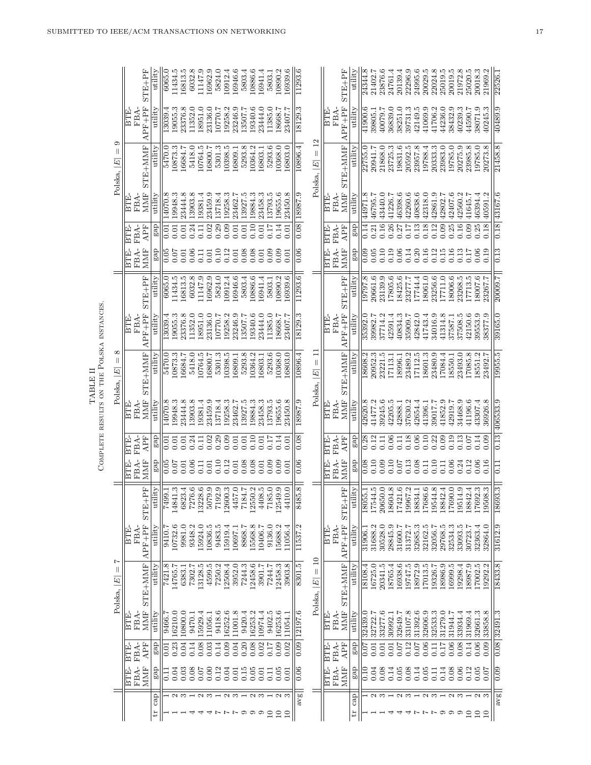|                                          | STE <sub>+PF</sub>           | utility  | 11434.5<br>6065.0                                           | 16813.5 | 6032.8  | 11147.9           | 16962.9 | 5824.0    | 10912.4        | 16946.6            | 5803.4  | 10886.6               | 16941.4 | 5803.1                 | 10890.2         | 16939.6                  | 11293.6          |                                              |             |      | STE+PF               | utility  | 24344.8           | 21402.7           | 23876.6 | 24761.4 | 20139.4           | 22296.9 | 24995.6 | 20029.5 | 22024.8 | 25019.5 | 20019.5           | 21972.8            | 25020.5 | 21969.2<br>20018.3     | 22526.          |
|------------------------------------------|------------------------------|----------|-------------------------------------------------------------|---------|---------|-------------------|---------|-----------|----------------|--------------------|---------|-----------------------|---------|------------------------|-----------------|--------------------------|------------------|----------------------------------------------|-------------|------|----------------------|----------|-------------------|-------------------|---------|---------|-------------------|---------|---------|---------|---------|---------|-------------------|--------------------|---------|------------------------|-----------------|
|                                          | APF+PF<br><b>BTE</b><br>FBA- | utility  | 19055.3<br>13039.4                                          | 23376.8 | 11352.0 | 18951.0           | 23136.0 | 10770.7   | 19258.2        | 23246.9            | 13507.7 | 19340.6               | 23444.0 | 11385.0                | 1.8668          | 23407.7                  | 18129.3          |                                              | <b>ELE</b>  | FBA- | APF+PF               | utility  | 41900.6           | 39805.1           | 40079.7 | 36839.0 | 38251.0           | 39731.3 | 42149.5 | 41069.9 | 41706.2 | 44236.0 | 38432.9           | 40239.3            | 44590.7 | 38071.9<br>10245.3     | 40489.9         |
| C<br>$\parallel$<br>Polska,  E           | STE+MMF                      | utility  | 10873.3<br>5470.0                                           | 1.8891  | 5418.0  | 10764.5           | 1.00891 | 5301.3    | 10398.5        | 16809.1            | 5293.8  | 10364.2               | 16803.1 | 5293.6                 | 10368.0         | .6803.0                  | 10896.4          | $\overline{12}$<br>$\parallel$<br>Polska,  E |             |      | <b>STE+MMF</b>       | utility  | 22755.0           | 20941.7           | 21868.0 | 23725.3 | 19831.6           | 20592.5 | 23957.8 | 19788.4 | 20333.3 | 23983.0 | 19785.0           | 20275.9            | 23985.8 | 19785.0<br>20273.8     | 21458.8         |
|                                          | <b>MMF</b><br>BTE-<br>FBA-   | utility  | 19948.3<br>14070.8                                          | 23444.8 | 13903.8 | 19381.4           | 23459.9 | 13718.4   | 19258.3        | 23462.7<br>13927.5 |         | 19884.3               | 23458.3 | 13793.5                | 19655.6         | 23450.8                  | $0.08$   18987.9 |                                              | BTE-        | FBA- | <b>MMF</b>           | utility  | 44971.8           | 46795.7           | 43440.0 | 41226.7 | 46398.6           | 42260.6 | 40838.6 | 42318.0 | 42861.9 | 42802.7 | 42407.6           | 42560.2<br>41645.7 |         | 46394.4<br>40591.2     | $0.18$ 43167.6  |
|                                          | APF<br>FBA-<br>白口日           | gap      | 0.01<br>$\Xi$                                               | 0.01    | 0.24    | $\overline{0.11}$ | 0.02    | 0.29      | 0.09           | 0.01               | 0.01    | 0.10                  | 0.01    | 0.17                   | 0.14            | 0.01                     |                  |                                              | <b>BTE</b>  | FBA- | <b>APF</b>           | gap      |                   | 0.21              | 0.16    | 0.26    | 0.27              | 0.17    | 0.13    | 0.18    | 0.12    | 0.09    | 0.25              | 0.16               | 0.09    | 0.25<br>0.18           |                 |
|                                          | FBA-<br><b>NIMF</b><br>BTE-  | gap      | 0.05<br>0.07                                                | 0.01    | 0.06    | 0.11              | 0.01    | 0.10      | 0.12           | 0.01               | 0.08    | 0.08                  | 0.01    | 0.09                   | 0.09            | $\overline{0}$           | 0.06             |                                              | <b>BTE</b>  | FBA- | <b>NIMF</b>          | gap      | $\overline{0.09}$ | 0.05              | 0.10    | 0.19    | 0.06              | 0.14    | 0.20    | 0.16    | 0.12    | 0.15    | 0.16              | 0.13               | 0.17    | 0.06<br>0.19           | 0.13            |
|                                          | STE+PF                       | utility  | $\begin{array}{c} 6065.0 \\ 11434.5 \\ 16813.5 \end{array}$ |         | 6032.8  | 1147.9            | 16962.9 | 5824.0    | 10912.4        | 16946.6            | 5803.4  | 10886.6               | 16941.4 | 5803.1                 | 10890.2         | .6939.6                  | 11293.6          |                                              |             |      | STE+PF               | utility  | 8.26261           | 20661.6           | 23139.9 | 17805.6 | 18425.6           | 23277.7 | 17744.4 | 18061.0 | 23256.6 | 17711.0 | 18006.6           | 23268.5<br>17713.5 |         | 18007.6                | 20009.7         |
|                                          | APF+PF<br>FBA-<br>BTE-       | utility  | 19055.3<br>$-3039.4$                                        | 23376.8 | 11352.0 | 18951.0           | 23136.0 | 10770.7   | 19258.2        | 23246.9            | 13507.7 | 19340.6               | 23444.0 | .1385.0                | 1.8668.7        | 23407.7                  | 18129.3          |                                              | BTE-        | FBA- | APF+PF               | utility  | 35392.0           | 39982.7           | 37714.2 | 42591.4 | 40834.3           | 35909.7 | 42842.0 | 41743.4 | 34016.9 | 41314.8 | 37587.1           | 37508.5            | 42150.6 | 39553.9<br>38377.9     | 39165.0         |
| $^{\infty}$<br>$\mid \mid$<br>Polska,  E | <b>STE+MMF</b>               | utility  | 0873.3<br>5470.0                                            | 16684.7 | 5418.0  | 0764.5            | .6800.7 | 5301.3    | 0398.5         | .6809.1            | 5293.8  | 0364.2                | .6803.1 | 5293.6                 | .0368.0         | .6803.0                  | 10896.4          | $\Xi$<br>Polska, $ E $                       |             |      | <b>STE+MMF</b>       | utility  | 8608.2            | 20952.3           | 23221.5 | 17113.1 | 18996.1           | 23489.2 | 17112.5 | 18601.3 | 23480.9 | 7084.4  | 18550.1           | 23493.0            | 17085.8 | 23492.7<br>8551.2      | 19955.5         |
|                                          | <b>MMF</b><br>FBA-<br>BTE.   | utility  | 14070.8<br>19948.3                                          | 23444.8 | 13903.8 | 19381.4           | 23459.9 | 13718.4   | .9258.3        | 23462.7            | 13927.5 | .9884.3               | 23458.3 | 13793.5                | 19655.6         | 23450.8                  | 18987.9          |                                              | ETE<br>B    | FBA- | <b>NIMIF</b>         | utility  | 42620.8           | 41477.2           | 39245.6 | 42205.5 | 42888.1           | 37630.2 | 42654.4 | 41396.1 | 39017.7 | 41852.9 | 42919.7           | 34468.9            | 41196.6 | 36926.8<br>43307.4     | $0.13$ 406533.9 |
|                                          | APF<br>FBA-<br>BTE-          | gap      | 0.01<br>$\overline{0.01}$                                   | 0.01    | 0.24    | 0.11              | 0.02    | 0.29      | 0.09           | 0.01               | 0.01    | 0.10                  | 0.01    | 0.17                   | 0.14            | 0.01                     | 0.08             |                                              | <b>BTE-</b> | FBA- | APF                  | gap      | $\sqrt{0.28}$     | 0.12              | 0.11    | 0.06    | 0.11              | 0.18    | 0.06    | 0.10    | 0.22    | 0.09    | 0.19              | 0.13               | 0.07    | 0.09                   |                 |
|                                          | <b>NIMF</b><br>BTE-<br>FBA-  | gap      | 0.05<br>0.07                                                | 0.01    | 0.06    | $\overline{0.11}$ | 0.01    | 0.10      | 0.12           | 0.01               | 0.08    | 0.08                  | 0.01    | 0.09                   | 0.09            | 0.01                     | 0.06             |                                              | <b>BTE</b>  | FBA- | <b>MMF</b>           | gap      | $\sqrt{0.08}$     | 0.10              | 0.09    | 0.10    | 0.07              | 0.13    | 0.08    | 0.11    | 0.10    | 0.11    | 0.06              | 0.24               | 0.12    | 0.16<br>0.06           | 0.11            |
|                                          | $+P$ F<br>STE-               | utility  | 14841.3<br>7499.1                                           | 6823.4  | 7276.6  | 13228.6           | 5079.9  | 92.9<br>Ĕ | 12600.3        | 7184.7             |         | $12550.2$<br>$4408.5$ |         | 85.0<br>$\overline{r}$ | 12549.9         | $10.0$<br>$\overline{4}$ | 85.8 <br> ≋      |                                              |             |      | $+PF$<br><b>FELS</b> | utility  | 18055.1           | 17544.5           | 20650.0 | 18604.8 | 17421.6           | 19967.2 | 18834.1 | 17686.6 | 19544.8 | 18842.4 | 17690.0           | 19514.9            | 18842.4 | 17692.3<br>19508.3     | 18693.3         |
|                                          | APF+PF<br>FBA-<br>BTE-       | utility  | 10732.6<br>9410.7                                           | 9981.0  | 9348.2  | 15924.0           | 10836.5 | 9483.5    | 15919.4        | 10697.1            | 8868.7  | 15568.8               | 10406.7 | 9136.0                 | 15688.2         | 11056.4                  | 11537.2          |                                              | <b>BTE</b>  | FBA- | APF+PF               | utility  | 31906.1           | 31688.2           | 30528.0 | 28845.9 | 31600.7           | 31372.7 | 32685.3 | 32162.5 | 32056.7 | 29768.5 | 32534.3           | 33093.5            | 30723.7 | 32864.0<br>32363.4     | 31612.9         |
| Ņ<br>$Polska,  E  =$                     | STE+MMF                      | utility  | 14765.7<br>7421.8                                           | 6383.1  | 7302.7  | 13128.5           | 4599.5  | 7250.2    | 12508.4        | 3952.0             | 7244.3  | 12458.6               | 3901.7  | 7244.7                 | 2458.3          | 3903.8                   | 8301.5           | $= 10$<br>Polska,  E                         |             |      | STE+MMF              | utility  | 18108.4           | 16725.0           | 20341.5 | 18765.4 | 16938.6           | 19747.5 | 18972.9 | 17013.5 | 19326.7 | 18986.9 | 16999.5           | 19298.4            | 18987.9 | 17002.5<br>N<br>19292. | 18433.8         |
|                                          | <b>NIMF</b><br>BTE-<br>FBA-  | utility  | 16210.0<br>9466.                                            | 10800.0 | 9470.1  | 15929.4           | 11056.1 | 9418.6    | 16252.6        | 11001.8            | 9420.4  | 16253.2               | 10974.4 | 9402.5                 | 16253.6         | 11054.1                  | 0.09 12197.6     |                                              | <b>BTE</b>  | FBA- | <b>NIMF</b>          | utility  | 32439.0           | 32722.7           | 33277.6 | 30992.1 | 32649.7           | 33107.8 | 31392.6 | 32606.9 | 32533.3 | 31279.0 | 31944.7           | 33934.4            | 31969.4 | 33858.8<br>32661.3     | $0.08$ 32491.3  |
|                                          | <b>APF</b><br>FBA-<br>BTE-   | gap      | 0.23<br>0.01                                                | 0.04    | 0.14    | 0.08              | 0.03    | 0.14      | 0.09           | 0.04               | 0.20    | 0.08                  | 0.02    | 0.17                   | 0.09            | 0.02                     |                  |                                              | <b>ELE</b>  | FBA- | <b>APF</b>           | gap      | 0.07              | 0.01              | 0.01    | 0.01    | 0.07              | 0.12    | 0.07    | 0.06    | 0.11    | 0.17    | 0.06              | 0.08               | 0.14    | 0.06<br>0.09           |                 |
|                                          | FBA-<br><b>MMF</b><br>BTE-   | gap      | 0.04                                                        | 0.03    | 0.08    | $0.07$            | 0.00    | 0.12      | 0.04           | 0.01               | 0.15    | 0.05                  | 0.01    | $\overline{0}$ .11     | 0.05            | $\overline{0}$ .0        | 0.06             |                                              | <b>BTE-</b> | FBA- | <b>MMF</b>           | gap      | 0.10              | 0.04              | 0.08    | 0.14    | 0.05              | 0.08    | 0.14    | 0.05    | 0.11    | 0.14    | 0.08              | 0.06               | 0.12    | 0.05<br>0.07           | 0.09            |
|                                          |                              | cap      | $\sim$                                                      | S       |         | $\mathbf{\Omega}$ | S       |           | $\mathfrak{a}$ | $\infty$           |         | $\mathbf{\Omega}$     | 3       |                        | $\sim$          | S                        | avg              |                                              |             |      |                      | $ca$     |                   | $\mathbf{\Omega}$ | S       |         | $\mathbf{\Omega}$ | 3       |         | $\sim$  | ∞       |         | $\mathbf{\Omega}$ | S                  |         | $\sim$                 | avg             |
|                                          |                              | $\sharp$ |                                                             |         |         |                   |         |           |                |                    | ⊙       | ౧                     | $\circ$ | $\overline{10}$        | $\overline{10}$ | $\Box$                   |                  |                                              |             |      |                      | $\sharp$ |                   |                   |         |         |                   |         |         |         |         |         | $\circ$           | $\circ$            | 10      | $\Xi$<br>$\Xi$         |                 |

 $\begin{tabular}{ll} \multicolumn{2}{c}{\textbf{TABLE II}}\\ \multicolumn{2}{c}{\textbf{COMPLETB}}\\ \multicolumn{2}{c}{\textbf{RISULTS ON THE POLSKA INSTANCBS}}. \end{tabular}$ Complete results on the Polska instances.

SUBMITTED TO IEEE/ACM TRANSACTIONS ON NETWORKING 17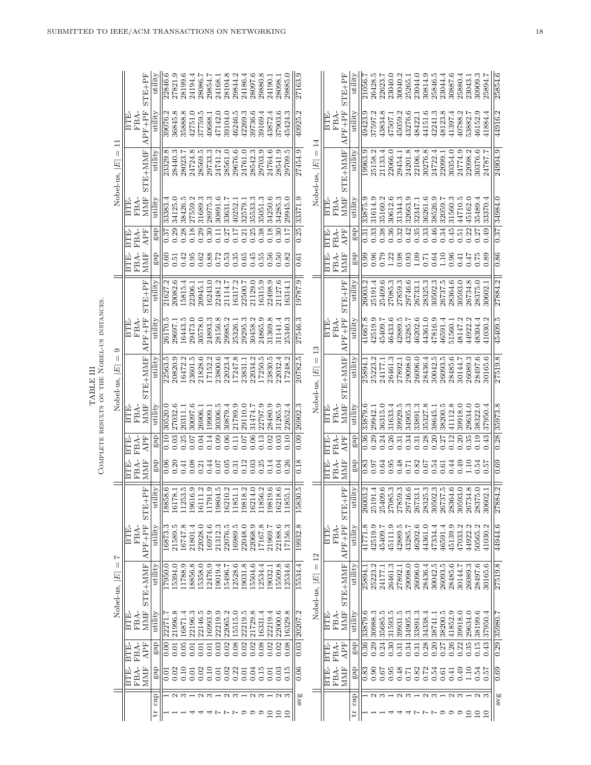|                                      |             | STE <sub>+PF</sub>  | utility  | 22846.6          | 27821.9     | 28199.6 | 24194.4 | 28086.7           | 29854.7            | 24168.1 | 28104.8        | 29844.2 | 24186.4 | 28097.6       | 29880.8 | 24190.1         | 28098.1         | 29885.0                | 27163.9                |                                              |             |      | $STE+PPF$            | utility              | 21056.                            | 26428.5            | 22623.7 | 23040.0 | 30040.2      | 25265.1     | 23044.0     | 30814.9           | 25846.5                   | 23044.4 | 30887.6           | 25880.4 | 23043.1     | 30909.3<br>25894.7       | 25854.6           |
|--------------------------------------|-------------|---------------------|----------|------------------|-------------|---------|---------|-------------------|--------------------|---------|----------------|---------|---------|---------------|---------|-----------------|-----------------|------------------------|------------------------|----------------------------------------------|-------------|------|----------------------|----------------------|-----------------------------------|--------------------|---------|---------|--------------|-------------|-------------|-------------------|---------------------------|---------|-------------------|---------|-------------|--------------------------|-------------------|
|                                      | BTE-        | APF+PF<br>FBA-      | utility  | 39076.2          | 36845.8     | 35888.8 | 42751.0 | 37759.5           | 40688.1            | 47142.0 | 39104.0        | 46246.5 | 42269.3 | 39736.6       | 39169.4 | 43872.4         | 37903.6         | 15424.3                | 40925.2                | $\overline{14}$                              | <b>BTE</b>  | FBA- | APF+PF               | utility              | 49423.9                           | 37597.2            | 43834.8 | 47507.1 | 45059.2      | 43276.6     | 48422.1     | 44151.6           | 42241.3                   | 48123.8 | 41397.4           | 40788.2 | 53882.7     | 46152.9<br>11884.4       | 44916.2           |
| $\frac{11}{11}$<br>Nobel-us, $ E $   |             | STE+MMF             | utility  | 23329.8          | 28440.3     | 28023.7 | 24724.8 | 28569.5           | 29733.3            | 24741.2 | 28561.0        | 29676.6 | 24761.0 | 28542.3       | 29703.9 | 24764.6         | 28541.9         | 29709.5                | 27454.9                | $\parallel$<br>Nobel-us, $ E $               |             |      | <b>STE+MMF</b>       | utility              | 19963.9                           | 25158.2            | 21133.4 | 22066.0 | 29454.1      | 24201.8     | 22106.4     | 30276.8           | 24722.4                   | 22099.1 | 30354.0           | 24774.9 | 22098.2     | 30376.6<br>24787.7       | 24904.9           |
|                                      | BTE<br>B    | <b>MMF</b><br>FBA.  | utility  | 33383.4          | 34125.0     | 38426.5 | 27559.2 | 31689.3           | 28975.3            | 30891.6 | 33631.7        | 40252.1 | 32579.1 | 35533.3       | 35051.3 | 34250.6         | 34285.3         | 29945.0                | $0.25$ 33371.9         |                                              | <b>BTE</b>  | FBA- | <b>MMF</b>           | utility              | 33875.9                           | 31614.9            | 35160.2 | 30612.6 | 31344.3      | 32663.9     | 32347.1     | 36261.6           | 38526.9                   | 32059.7 | 31560.3           | 44710.5 | 45162.0     | 35489.4<br>33370.4       | 0.37   34984 C    |
|                                      | E<br>E<br>E | APF<br>FBA-         | gap      | 0.37             | 0.29        | 0.28    | 0.18    | 0.29              | 0.30               | $\Xi$   | 0.27           | 0.17    | 0.21    | 0.25          | 0.38    | 0.18            | 0.30            | 0.17                   |                        |                                              | <b>ELB</b>  | FBA- | APF                  | gap                  | $\overline{0.31}$                 | 0.33               | 0.38    | 0.36    | 0.32         | 0.42        | 0.35        | 0.33              | 0.46                      | 0.34    | 0.45              | 0.51    | 0.22        | 0.49<br>0.27             |                   |
|                                      | E<br>E<br>E | <b>MMF</b><br>FBA-  | gap      | 0.60             | 0.51        | 0.42    | 0.95    | 0.62              | 0.88               | 0.72    | 0.53           | 0.35    | 0.65    | 0.45          | 0.55    | 0.56            | 0.50            | 0.82                   | 0.61                   |                                              | <b>BTE</b>  | FBA- | MMF                  | gap                  | $\frac{66}{10}$                   | 0.96               | 0.79    | 1.22    | 0.98         | 0.93        | 0.1         | 0.71              | 0.64                      | 1.10    | 0.96              | 0.41    | 747         | 0.89<br>0.75             | 0.86              |
|                                      |             | STE <sub>+PF</sub>  | utility  | 21627.2          | 20082.6     | 15815.4 | 22306.1 | 20945.1           | 16243.0            | 22481.2 | 21114.7        | 16317.2 | 22500.7 | 21129.0       | 16315.9 | 22498.9         | 21127.6         | 16314.1                | 19787.9                |                                              |             |      | STE+PF               | utility              | 26003.2                           | 25191.4            | 25409.6 | 27085.3 | 27859.3      | 29746.6     | 26733.1     | 28325.3           | 30502.3                   | 26737.5 | 28364.6           | 30593.0 | 26734.8     | 28375.0<br>30602.1       | 27884.2           |
|                                      | BTE-        | APF+PF<br>FBA-      | utility  | 26170.5          | 29697.1     | 16443.5 | 29473.0 | 30578.0           | 24893.3            | 28156.8 | 29985.2        | 25326.1 | 29295.3 | 30458.2       | 24865.9 | 31369.8         | 31141.4         | 25340.3                | 27546.3                |                                              | <b>BTE</b>  | FBA- | APF+PF               | utility              | 41667.8                           | 12519.9            | 15409.7 | 16433.6 | 12889.5      | 43285.7     | 46202.6     | 44361.0           | 47816.9                   | 16591.4 | 51560.1           | 48147.2 | 14922.2     | 41030.2<br>18304.4       | 45409.5           |
| c<br>$\vert\vert$<br>Nobel-us, $ E $ |             | STE+MMF             | utility  | 22563.5          | 20820.9     | 16472.2 | 23601.5 | 21828.6           | 17152.2            | 23800.6 | 22023.4        | 17247.8 | 23831.1 | 22034.2       | 17250.5 | 23830.5         | 22032.4         | 17248.2                | 20782.5                | $\mathbf{r}$<br>$\parallel$<br>Nobel-us,  E  |             |      | STE+MMF              | utility              | 25894.                            | 25223.2            | 24177.1 | 26461.3 | 27892.1      | 29098.0     | 26096.0     | 28436.4           | 30042.5                   | 26093.5 | 28485.6           | 30144.7 | 26089.3     | 28497.6<br>30165.6       | 27519.8           |
|                                      | BTE-        | <b>MMF</b><br>FBA-  | utility  | 30520.0          | 27032.6     | 20311.1 | 30097.6 | 26906.1           | 19909.1            | 30306.5 | 30879.4        | 21789.9 | 29110.0 | 31474.7       | 22797.9 | 28480.9         | 31265.9         | 22652.4                | $0.09$ 26902.3         |                                              | BTE.        | FBA- | <b>MMF</b>           | utility              | 33879.6                           | 29942.1            | 36315.0 | 31633.4 | 39929.5      | 34905.3     | 33891.3     | 35327.8           | 38645.1                   | 38200.5 | 41112.8           | 39918.0 | 29634.0     | 38322.0<br>37950.4       | $0.28$ 35973.8    |
|                                      | BTE.        | APF<br>FBA-         | gap      | 0.10             | 0.03        | 0.25    | 0.07    | 0.04              | 0.14               | 0.09    | 0.06           | 0.11    | 0.07    | 0.06          | 0.13    | 0.02            | 0.03            | 0.10                   |                        |                                              | <b>BTE-</b> | FBA- | APF                  | gap                  | 0.36                              | 0.29               | 0.24    | 0.26    | 0.31         | 0.34        | 0.31        | 0.28              | 0.20                      | 0.27    | 0.12              | 0.20    | 0.35        | 0.19<br>0.43             |                   |
|                                      | BTE-        | <b>NIMF</b><br>FBA- | gap      | 0.06             | 0.20        | 0.41    | 0.08    | 0.21              | 0.44               | 0.07    | 0.05           | 0.31    | 0.12    | 0.03          | 0.25    | 0.14            | 0.04            | 0.26                   | 0.18                   |                                              | <b>BTE</b>  | FBA- | <b>MMF</b>           | gap                  | $\sqrt{0.83}$                     | 0.97               | 0.64    | 0.95    | 0.48         | 0.71        | 0.82        | 0.67              | 0.54                      | 0.61    | 0.44              | 0.49    | 1.10        | $0.54$<br>0.57           | $\overline{0.69}$ |
|                                      |             | $+P$ F<br>STE-      | utility  | 58.6<br>188      | 78.1<br>161 | 11253.5 | 19616.9 | 11.2<br>161       | 11791.9<br>19804.5 |         | 16210.2        | 11851.1 | 19818.2 | 16214.0       | 11856.2 | 19819.6         | 18.6<br>162     | 55.1<br>$\frac{18}{1}$ | 30.5<br>$\frac{8}{38}$ |                                              |             |      | $+PF$<br><b>FELS</b> | utility              | $\frac{2}{9}$<br>$\overline{260}$ | 91.4<br>251        | 25409.6 | 27085.3 | 27859.3      | 46.6<br>297 | 33.1<br>267 | 28325.3           | $\frac{30502.3}{26737.5}$ |         | 28364.6           | 30593.0 | 34.8<br>267 | 28375.0<br>30602.1       | 27884.2           |
|                                      | <b>BTE</b>  | APF+PF<br>FBA-      | utility  | 16873.3          | 21589.5     | 16747.8 | 21801.4 | 22028.0           | 16974.6            | 21312.3 | 22076.5        | 16989.5 | 22048.0 | 22068.9       | 17167.8 | 21969.7         | 22188.6         | 17156.3                | 19932.8                |                                              | <b>BTE</b>  | FBA- | APF+PF               | utility              | 41771.8                           | 42519.9<br>45409.7 |         | 45111.9 | 42889.5      | 43285.7     | 46202.6     | 44361.0           | 47334.4                   | 46591.4 | 45139.9           | 47033.2 | 44922.2     | 50565.2<br>41030.2       | 44944.6           |
| Ļ<br>$\parallel$<br>Nobel-us, $ E $  |             | STE+MMF             | utility  | 17950.0          | 15394.0     | 11788.9 | 18856.8 | 15358.0           | 12476.9            | 19019.4 | 15496.7        | 12528.6 | 19031.8 | 15504.6       | 12534.4 | 19032.1         | 5509.8          | .2534.6                | 15534.4                | $\frac{2}{1}$<br>$\parallel$<br>Nobel-us,  E |             |      | STE+MMF              | utility              | 25894                             | 25223.2            | 24177.1 | 26461.3 | 27892.1      | 29098.0     | 26096.0     | 28436.4           | 30042.5                   | 26093.5 | 28485.6           | 30144.7 | 26089.3     | 28497.6<br>30165.6       | 27519.8           |
|                                      | BTE-        | <b>NIMF</b><br>FBA- | utility  | 22271.7          | 21996.8     | 16871.4 | 22196.3 | 22146.5           | 16993.9            | 22219.9 | 22065.2        | 15515.0 | 22219.5 | 21729.8       | 16331.4 | 22219.4         | 22000.6         | 16329.8                | 0.03   20207.2         |                                              | <b>ELE</b>  | FBA- | <b>NIMF</b>          | $\overline{utility}$ | 33879.6                           | 30988.3            | 35685.5 | 31593.5 | 39931.5      | 34905.3     | 33891.3     | 34338.4           | 38741.1                   | 38200.5 | 41852.9           | 39918.0 | 29634.0     | 38199.6<br>37950.4       | $0.29$ 35980.7    |
|                                      | BTE-        | <b>APF</b><br>FBA-  | gap      | 0.00             | 0.01        | 0.05    | 0.01    | 0.01              | 0.01               | 0.03    | 0.02           | 0.08    | 0.02    | 0.02          | 0.08    | 0.02            | 0.02            | 0.08                   |                        |                                              | <b>ELE</b>  | FBA- | <b>APF</b>           | gap                  | 0.36                              | 0.29               | 0.24    | 0.30    | 0.31         | 0.34        | 0.31        | 0.28              | 0.20                      | 0.27    | 0.26              | 0.22    | 0.35        | 0.15<br>0.43             |                   |
|                                      | BTE-        | FBA-<br><b>MMF</b>  | gap      | $\overline{0}$ . | 0.02        | 0.10    | 0.01    | 0.02              | 0.10               | 0.01    | 0.02           | 0.22    | 0.01    | 0.04          | 0.15    | 0.01            | 0.03            | 0.15                   | 0.06                   |                                              | <b>BTE-</b> | FBA- | <b>MMF</b>           | gap                  | $\sqrt{83}$                       | 0.90               | 0.67    | 0.95    | 0.48         | 0.71        | 0.82        | 0.72              | 0.54                      | 0.61    | 0.41              | 0.49    | 1.10        | 0.54<br>0.57             | $\overline{0.69}$ |
|                                      |             |                     | cap      |                  | $\sim$      | S       |         | $\mathbf{\Omega}$ | S                  |         | $\mathbf{c}_1$ | S       |         | $\sim$ $\sim$ |         |                 | $\sim$          | S                      | avg                    |                                              |             |      |                      | cap                  |                                   | $\sim$ $\infty$    |         |         | $\mathbf{c}$ | 3           |             | $\mathbf{\Omega}$ | S                         |         | $\mathbf{\Omega}$ | S       |             | $\sim$                   | avg               |
|                                      |             |                     | $\sharp$ |                  |             |         |         |                   |                    |         |                |         | $\circ$ | ာ             | $\circ$ | $\overline{10}$ | $\overline{10}$ | $\overline{10}$        |                        |                                              |             |      |                      | $\ddot{u}$           |                                   |                    |         |         |              |             |             |                   |                           | ಾ       | $\circ$           | G       | $\Box$      | $\Xi$<br>$\overline{10}$ |                   |

TABLE III COMPLETE RESULTS ON THE NOBEL-US INSTANCES. Complete results on the Nobel-us instances.

SUBMITTED TO IEEE/ACM TRANSACTIONS ON NETWORKING 18